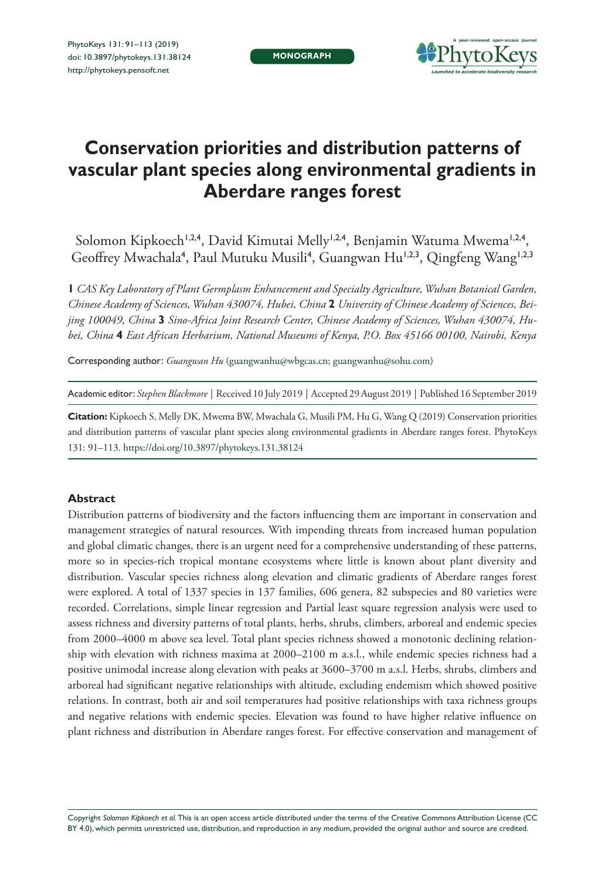

# **Conservation priorities and distribution patterns of vascular plant species along environmental gradients in Aberdare ranges forest**

Solomon Kipkoech<sup>1,2,4</sup>, David Kimutai Melly<sup>1,2,4</sup>, Benjamin Watuma Mwema<sup>1,2,4</sup>, Geoffrey Mwachala<sup>4</sup>, Paul Mutuku Musili<sup>4</sup>, Guangwan Hu<sup>1,2,3</sup>, Qingfeng Wang<sup>1,2,3</sup>

**1** *CAS Key Laboratory of Plant Germplasm Enhancement and Specialty Agriculture, Wuhan Botanical Garden, Chinese Academy of Sciences, Wuhan 430074, Hubei, China* **2** *University of Chinese Academy of Sciences, Beijing 100049, China* **3** *Sino-Africa Joint Research Center, Chinese Academy of Sciences, Wuhan 430074, Hubei, China* **4** *East African Herbarium, National Museums of Kenya, P.O. Box 45166 00100, Nairobi, Kenya*

Corresponding author: *Guangwan Hu* [\(guangwanhu@wbgcas.cn;](mailto:guangwanhu@wbgcas.cn) [guangwanhu@sohu.com\)](mailto:guangwanhu@sohu.com)

Academic editor: *Stephen Blackmore* | Received 10 July 2019 | Accepted 29 August 2019 | Published 16 September 2019

**Citation:** Kipkoech S, Melly DK, Mwema BW, Mwachala G, Musili PM, Hu G, Wang Q (2019) Conservation priorities and distribution patterns of vascular plant species along environmental gradients in Aberdare ranges forest. PhytoKeys 131: 91–113.<https://doi.org/10.3897/phytokeys.131.38124>

### **Abstract**

Distribution patterns of biodiversity and the factors influencing them are important in conservation and management strategies of natural resources. With impending threats from increased human population and global climatic changes, there is an urgent need for a comprehensive understanding of these patterns, more so in species-rich tropical montane ecosystems where little is known about plant diversity and distribution. Vascular species richness along elevation and climatic gradients of Aberdare ranges forest were explored. A total of 1337 species in 137 families, 606 genera, 82 subspecies and 80 varieties were recorded. Correlations, simple linear regression and Partial least square regression analysis were used to assess richness and diversity patterns of total plants, herbs, shrubs, climbers, arboreal and endemic species from 2000–4000 m above sea level. Total plant species richness showed a monotonic declining relationship with elevation with richness maxima at 2000–2100 m a.s.l., while endemic species richness had a positive unimodal increase along elevation with peaks at 3600–3700 m a.s.l. Herbs, shrubs, climbers and arboreal had significant negative relationships with altitude, excluding endemism which showed positive relations. In contrast, both air and soil temperatures had positive relationships with taxa richness groups and negative relations with endemic species. Elevation was found to have higher relative influence on plant richness and distribution in Aberdare ranges forest. For effective conservation and management of

Copyright *Solomon Kipkoech et al.* This is an open access article distributed under the terms of the [Creative Commons Attribution License \(CC](http://creativecommons.org/licenses/by/4.0/)  [BY 4.0\)](http://creativecommons.org/licenses/by/4.0/), which permits unrestricted use, distribution, and reproduction in any medium, provided the original author and source are credited.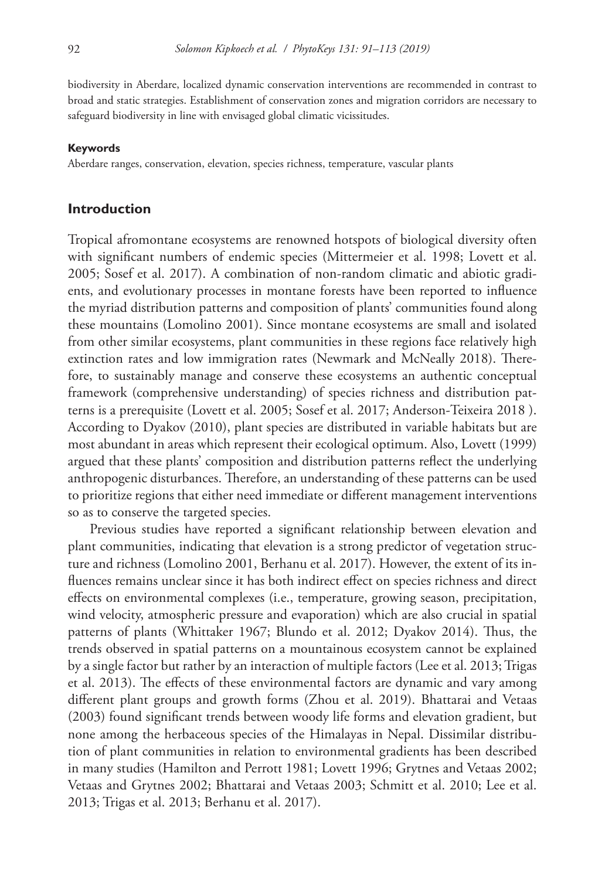biodiversity in Aberdare, localized dynamic conservation interventions are recommended in contrast to broad and static strategies. Establishment of conservation zones and migration corridors are necessary to safeguard biodiversity in line with envisaged global climatic vicissitudes.

#### **Keywords**

Aberdare ranges, conservation, elevation, species richness, temperature, vascular plants

### **Introduction**

Tropical afromontane ecosystems are renowned hotspots of biological diversity often with significant numbers of endemic species (Mittermeier et al. 1998; Lovett et al. 2005; Sosef et al. 2017). A combination of non-random climatic and abiotic gradients, and evolutionary processes in montane forests have been reported to influence the myriad distribution patterns and composition of plants' communities found along these mountains (Lomolino 2001). Since montane ecosystems are small and isolated from other similar ecosystems, plant communities in these regions face relatively high extinction rates and low immigration rates (Newmark and McNeally 2018). Therefore, to sustainably manage and conserve these ecosystems an authentic conceptual framework (comprehensive understanding) of species richness and distribution patterns is a prerequisite (Lovett et al. 2005; Sosef et al. 2017; Anderson-Teixeira 2018 ). According to Dyakov (2010), plant species are distributed in variable habitats but are most abundant in areas which represent their ecological optimum. Also, Lovett (1999) argued that these plants' composition and distribution patterns reflect the underlying anthropogenic disturbances. Therefore, an understanding of these patterns can be used to prioritize regions that either need immediate or different management interventions so as to conserve the targeted species.

Previous studies have reported a significant relationship between elevation and plant communities, indicating that elevation is a strong predictor of vegetation structure and richness (Lomolino 2001, Berhanu et al. 2017). However, the extent of its influences remains unclear since it has both indirect effect on species richness and direct effects on environmental complexes (i.e., temperature, growing season, precipitation, wind velocity, atmospheric pressure and evaporation) which are also crucial in spatial patterns of plants (Whittaker 1967; Blundo et al. 2012; Dyakov 2014). Thus, the trends observed in spatial patterns on a mountainous ecosystem cannot be explained by a single factor but rather by an interaction of multiple factors (Lee et al. 2013; Trigas et al. 2013). The effects of these environmental factors are dynamic and vary among different plant groups and growth forms (Zhou et al. 2019). Bhattarai and Vetaas (2003) found significant trends between woody life forms and elevation gradient, but none among the herbaceous species of the Himalayas in Nepal. Dissimilar distribution of plant communities in relation to environmental gradients has been described in many studies (Hamilton and Perrott 1981; Lovett 1996; Grytnes and Vetaas 2002; Vetaas and Grytnes 2002; Bhattarai and Vetaas 2003; Schmitt et al. 2010; Lee et al. 2013; Trigas et al. 2013; Berhanu et al. 2017).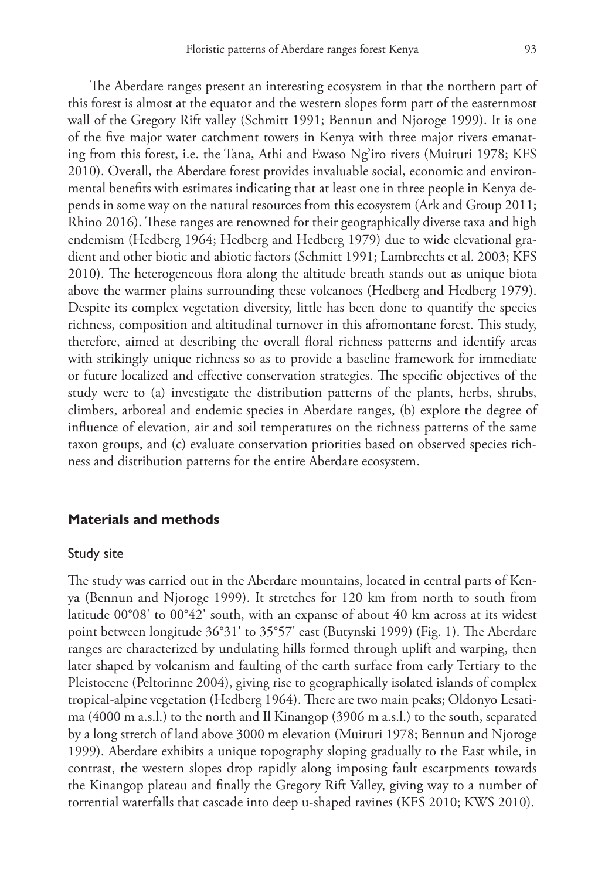The Aberdare ranges present an interesting ecosystem in that the northern part of this forest is almost at the equator and the western slopes form part of the easternmost wall of the Gregory Rift valley (Schmitt 1991; Bennun and Njoroge 1999). It is one of the five major water catchment towers in Kenya with three major rivers emanating from this forest, i.e. the Tana, Athi and Ewaso Ng'iro rivers (Muiruri 1978; KFS 2010). Overall, the Aberdare forest provides invaluable social, economic and environmental benefits with estimates indicating that at least one in three people in Kenya depends in some way on the natural resources from this ecosystem (Ark and Group 2011; Rhino 2016). These ranges are renowned for their geographically diverse taxa and high endemism (Hedberg 1964; Hedberg and Hedberg 1979) due to wide elevational gradient and other biotic and abiotic factors (Schmitt 1991; Lambrechts et al. 2003; KFS 2010). The heterogeneous flora along the altitude breath stands out as unique biota above the warmer plains surrounding these volcanoes (Hedberg and Hedberg 1979). Despite its complex vegetation diversity, little has been done to quantify the species richness, composition and altitudinal turnover in this afromontane forest. This study, therefore, aimed at describing the overall floral richness patterns and identify areas with strikingly unique richness so as to provide a baseline framework for immediate or future localized and effective conservation strategies. The specific objectives of the study were to (a) investigate the distribution patterns of the plants, herbs, shrubs, climbers, arboreal and endemic species in Aberdare ranges, (b) explore the degree of influence of elevation, air and soil temperatures on the richness patterns of the same taxon groups, and (c) evaluate conservation priorities based on observed species richness and distribution patterns for the entire Aberdare ecosystem.

### **Materials and methods**

### Study site

The study was carried out in the Aberdare mountains, located in central parts of Kenya (Bennun and Njoroge 1999). It stretches for 120 km from north to south from latitude 00°08' to 00°42' south, with an expanse of about 40 km across at its widest point between longitude 36°31' to 35°57' east (Butynski 1999) (Fig. 1). The Aberdare ranges are characterized by undulating hills formed through uplift and warping, then later shaped by volcanism and faulting of the earth surface from early Tertiary to the Pleistocene (Peltorinne 2004), giving rise to geographically isolated islands of complex tropical-alpine vegetation (Hedberg 1964). There are two main peaks; Oldonyo Lesatima (4000 m a.s.l.) to the north and Il Kinangop (3906 m a.s.l.) to the south, separated by a long stretch of land above 3000 m elevation (Muiruri 1978; Bennun and Njoroge 1999). Aberdare exhibits a unique topography sloping gradually to the East while, in contrast, the western slopes drop rapidly along imposing fault escarpments towards the Kinangop plateau and finally the Gregory Rift Valley, giving way to a number of torrential waterfalls that cascade into deep u-shaped ravines (KFS 2010; KWS 2010).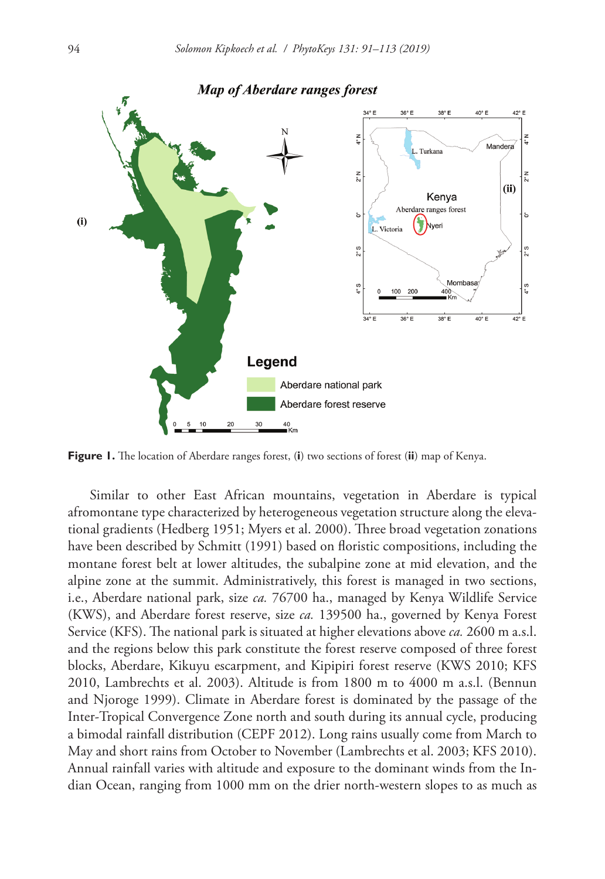

**Figure 1.** The location of Aberdare ranges forest, (**i**) two sections of forest (**ii**) map of Kenya.

Similar to other East African mountains, vegetation in Aberdare is typical afromontane type characterized by heterogeneous vegetation structure along the elevational gradients (Hedberg 1951; Myers et al. 2000). Three broad vegetation zonations have been described by Schmitt (1991) based on floristic compositions, including the montane forest belt at lower altitudes, the subalpine zone at mid elevation, and the alpine zone at the summit. Administratively, this forest is managed in two sections, i.e., Aberdare national park, size *ca.* 76700 ha., managed by Kenya Wildlife Service (KWS), and Aberdare forest reserve, size *ca.* 139500 ha., governed by Kenya Forest Service (KFS). The national park is situated at higher elevations above *ca.* 2600 m a.s.l. and the regions below this park constitute the forest reserve composed of three forest blocks, Aberdare, Kikuyu escarpment, and Kipipiri forest reserve (KWS 2010; KFS 2010, Lambrechts et al. 2003). Altitude is from 1800 m to 4000 m a.s.l. (Bennun and Njoroge 1999). Climate in Aberdare forest is dominated by the passage of the Inter-Tropical Convergence Zone north and south during its annual cycle, producing a bimodal rainfall distribution (CEPF 2012). Long rains usually come from March to May and short rains from October to November (Lambrechts et al. 2003; KFS 2010). Annual rainfall varies with altitude and exposure to the dominant winds from the Indian Ocean, ranging from 1000 mm on the drier north-western slopes to as much as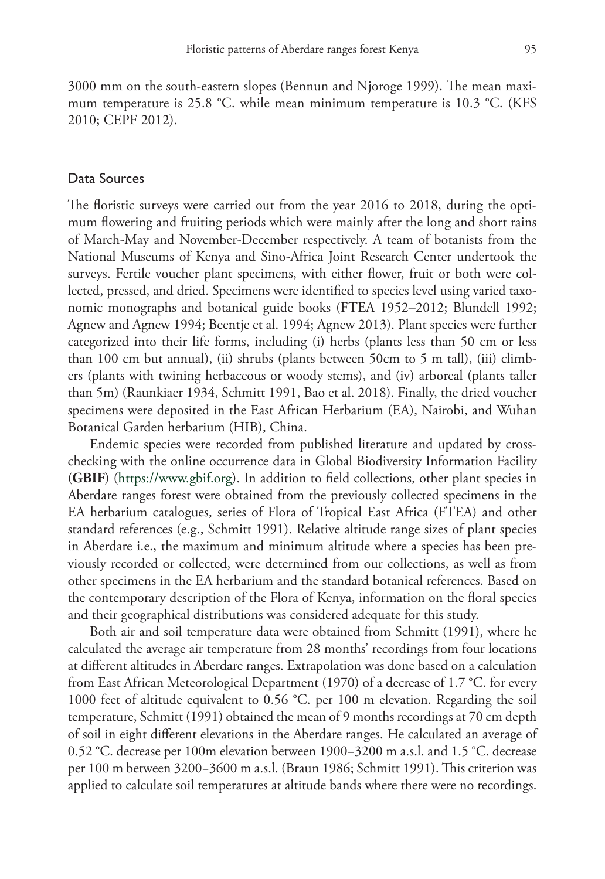3000 mm on the south-eastern slopes (Bennun and Njoroge 1999). The mean maximum temperature is 25.8 °C. while mean minimum temperature is 10.3 °C. (KFS 2010; CEPF 2012).

### Data Sources

The floristic surveys were carried out from the year 2016 to 2018, during the optimum flowering and fruiting periods which were mainly after the long and short rains of March-May and November-December respectively. A team of botanists from the National Museums of Kenya and Sino-Africa Joint Research Center undertook the surveys. Fertile voucher plant specimens, with either flower, fruit or both were collected, pressed, and dried. Specimens were identified to species level using varied taxonomic monographs and botanical guide books (FTEA 1952–2012; Blundell 1992; Agnew and Agnew 1994; Beentje et al. 1994; Agnew 2013). Plant species were further categorized into their life forms, including (i) herbs (plants less than 50 cm or less than 100 cm but annual), (ii) shrubs (plants between 50cm to 5 m tall), (iii) climbers (plants with twining herbaceous or woody stems), and (iv) arboreal (plants taller than 5m) (Raunkiaer 1934, Schmitt 1991, Bao et al. 2018). Finally, the dried voucher specimens were deposited in the East African Herbarium (EA), Nairobi, and Wuhan Botanical Garden herbarium (HIB), China.

Endemic species were recorded from published literature and updated by crosschecking with the online occurrence data in Global Biodiversity Information Facility (**GBIF**) [\(https://www.gbif.org](https://www.gbif.org)). In addition to field collections, other plant species in Aberdare ranges forest were obtained from the previously collected specimens in the EA herbarium catalogues, series of Flora of Tropical East Africa (FTEA) and other standard references (e.g., Schmitt 1991). Relative altitude range sizes of plant species in Aberdare i.e., the maximum and minimum altitude where a species has been previously recorded or collected, were determined from our collections, as well as from other specimens in the EA herbarium and the standard botanical references. Based on the contemporary description of the Flora of Kenya, information on the floral species and their geographical distributions was considered adequate for this study.

Both air and soil temperature data were obtained from Schmitt (1991), where he calculated the average air temperature from 28 months' recordings from four locations at different altitudes in Aberdare ranges. Extrapolation was done based on a calculation from East African Meteorological Department (1970) of a decrease of 1.7 °C. for every 1000 feet of altitude equivalent to 0.56 °C. per 100 m elevation. Regarding the soil temperature, Schmitt (1991) obtained the mean of 9 months recordings at 70 cm depth of soil in eight different elevations in the Aberdare ranges. He calculated an average of 0.52 °C. decrease per 100m elevation between 1900−3200 m a.s.l. and 1.5 °C. decrease per 100 m between 3200−3600 m a.s.l. (Braun 1986; Schmitt 1991). This criterion was applied to calculate soil temperatures at altitude bands where there were no recordings.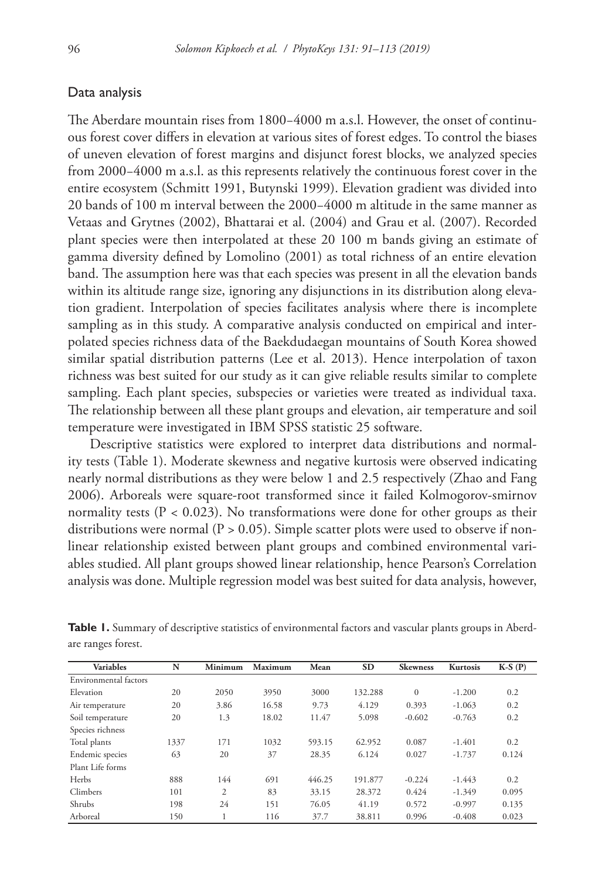### Data analysis

The Aberdare mountain rises from 1800−4000 m a.s.l. However, the onset of continuous forest cover differs in elevation at various sites of forest edges. To control the biases of uneven elevation of forest margins and disjunct forest blocks, we analyzed species from 2000−4000 m a.s.l. as this represents relatively the continuous forest cover in the entire ecosystem (Schmitt 1991, Butynski 1999). Elevation gradient was divided into 20 bands of 100 m interval between the 2000−4000 m altitude in the same manner as Vetaas and Grytnes (2002), Bhattarai et al. (2004) and Grau et al. (2007). Recorded plant species were then interpolated at these 20 100 m bands giving an estimate of gamma diversity defined by Lomolino (2001) as total richness of an entire elevation band. The assumption here was that each species was present in all the elevation bands within its altitude range size, ignoring any disjunctions in its distribution along elevation gradient. Interpolation of species facilitates analysis where there is incomplete sampling as in this study. A comparative analysis conducted on empirical and interpolated species richness data of the Baekdudaegan mountains of South Korea showed similar spatial distribution patterns (Lee et al. 2013). Hence interpolation of taxon richness was best suited for our study as it can give reliable results similar to complete sampling. Each plant species, subspecies or varieties were treated as individual taxa. The relationship between all these plant groups and elevation, air temperature and soil temperature were investigated in IBM SPSS statistic 25 software.

Descriptive statistics were explored to interpret data distributions and normality tests (Table 1). Moderate skewness and negative kurtosis were observed indicating nearly normal distributions as they were below 1 and 2.5 respectively (Zhao and Fang 2006). Arboreals were square-root transformed since it failed Kolmogorov-smirnov normality tests ( $P < 0.023$ ). No transformations were done for other groups as their distributions were normal ( $P > 0.05$ ). Simple scatter plots were used to observe if nonlinear relationship existed between plant groups and combined environmental variables studied. All plant groups showed linear relationship, hence Pearson's Correlation analysis was done. Multiple regression model was best suited for data analysis, however,

| <b>Variables</b>      | N    | Minimum        | Maximum | Mean   | <b>SD</b> | <b>Skewness</b> | Kurtosis | $K-S(P)$ |
|-----------------------|------|----------------|---------|--------|-----------|-----------------|----------|----------|
| Environmental factors |      |                |         |        |           |                 |          |          |
| Elevation             | 20   | 2050           | 3950    | 3000   | 132.288   | $\Omega$        | $-1.200$ | 0.2      |
| Air temperature       | 20   | 3.86           | 16.58   | 9.73   | 4.129     | 0.393           | $-1.063$ | 0.2      |
| Soil temperature      | 20   | 1.3            | 18.02   | 11.47  | 5.098     | $-0.602$        | $-0.763$ | 0.2      |
| Species richness      |      |                |         |        |           |                 |          |          |
| Total plants          | 1337 | 171            | 1032    | 593.15 | 62.952    | 0.087           | $-1.401$ | 0.2      |
| Endemic species       | 63   | 20             | 37      | 28.35  | 6.124     | 0.027           | $-1.737$ | 0.124    |
| Plant Life forms      |      |                |         |        |           |                 |          |          |
| Herbs                 | 888  | 144            | 691     | 446.25 | 191.877   | $-0.224$        | $-1.443$ | 0.2      |
| Climbers              | 101  | $\overline{c}$ | 83      | 33.15  | 28.372    | 0.424           | $-1.349$ | 0.095    |
| Shrubs                | 198  | 24             | 151     | 76.05  | 41.19     | 0.572           | $-0.997$ | 0.135    |
| Arboreal              | 150  |                | 116     | 37.7   | 38.811    | 0.996           | $-0.408$ | 0.023    |

**Table 1.** Summary of descriptive statistics of environmental factors and vascular plants groups in Aberdare ranges forest.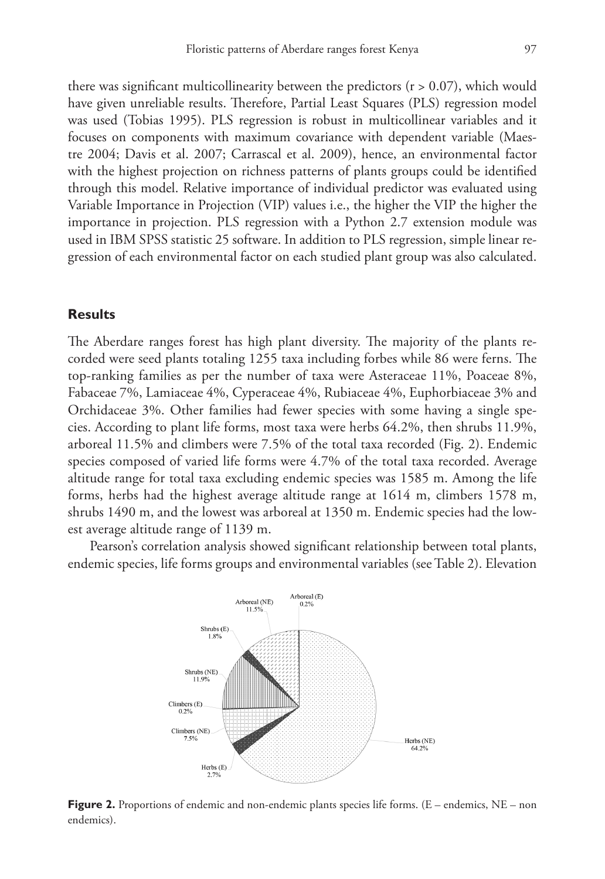there was significant multicollinearity between the predictors  $(r > 0.07)$ , which would have given unreliable results. Therefore, Partial Least Squares (PLS) regression model was used (Tobias 1995). PLS regression is robust in multicollinear variables and it focuses on components with maximum covariance with dependent variable (Maestre 2004; Davis et al. 2007; Carrascal et al. 2009), hence, an environmental factor with the highest projection on richness patterns of plants groups could be identified through this model. Relative importance of individual predictor was evaluated using Variable Importance in Projection (VIP) values i.e., the higher the VIP the higher the importance in projection. PLS regression with a Python 2.7 extension module was used in IBM SPSS statistic 25 software. In addition to PLS regression, simple linear regression of each environmental factor on each studied plant group was also calculated.

### **Results**

The Aberdare ranges forest has high plant diversity. The majority of the plants recorded were seed plants totaling 1255 taxa including forbes while 86 were ferns. The top-ranking families as per the number of taxa were Asteraceae 11%, Poaceae 8%, Fabaceae 7%, Lamiaceae 4%, Cyperaceae 4%, Rubiaceae 4%, Euphorbiaceae 3% and Orchidaceae 3%. Other families had fewer species with some having a single species. According to plant life forms, most taxa were herbs 64.2%, then shrubs 11.9%, arboreal 11.5% and climbers were 7.5% of the total taxa recorded (Fig. 2). Endemic species composed of varied life forms were 4.7% of the total taxa recorded. Average altitude range for total taxa excluding endemic species was 1585 m. Among the life forms, herbs had the highest average altitude range at 1614 m, climbers 1578 m, shrubs 1490 m, and the lowest was arboreal at 1350 m. Endemic species had the lowest average altitude range of 1139 m.

Pearson's correlation analysis showed significant relationship between total plants, endemic species, life forms groups and environmental variables (see Table 2). Elevation



**Figure 2.** Proportions of endemic and non-endemic plants species life forms. (E – endemics, NE – non endemics).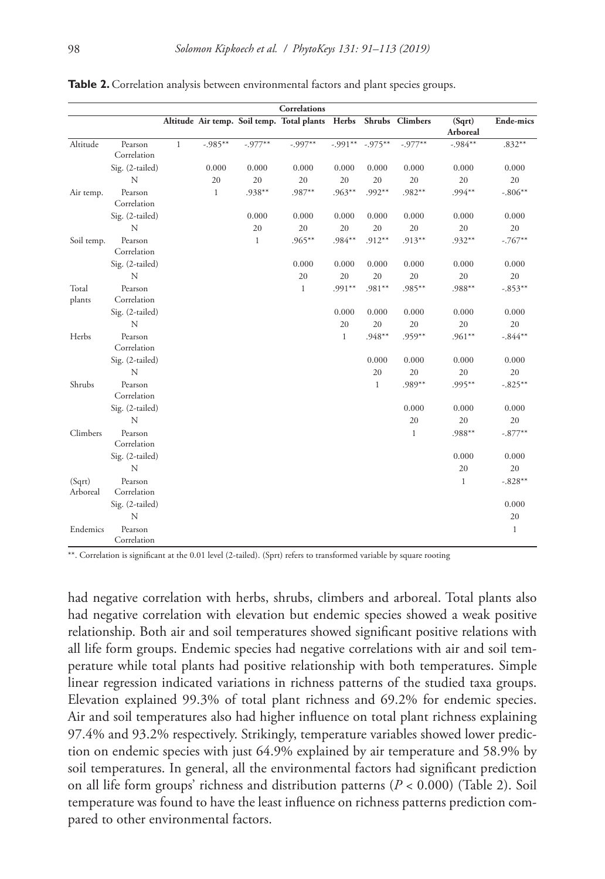|                    |                        |              |              |              | Correlations                               |              |              |                 |                    |              |
|--------------------|------------------------|--------------|--------------|--------------|--------------------------------------------|--------------|--------------|-----------------|--------------------|--------------|
|                    |                        |              |              |              | Altitude Air temp. Soil temp. Total plants | Herbs        |              | Shrubs Climbers | (Sqrt)<br>Arboreal | Ende-mics    |
| Altitude           | Pearson<br>Correlation | $\mathbf{1}$ | $-.985**$    | $-.977**$    | $-0.997**$                                 | $-.991**$    | $-.975**$    | $-.977**$       | $-984**$           | $.832**$     |
|                    | Sig. (2-tailed)        |              | 0.000        | 0.000        | 0.000                                      | 0.000        | 0.000        | 0.000           | 0.000              | 0.000        |
|                    | N                      |              | 20           | 20           | 20                                         | 20           | 20           | 20              | 20                 | 20           |
| Air temp.          | Pearson<br>Correlation |              | $\mathbf{1}$ | .938**       | .987**                                     | $.963**$     | $.992**$     | $.982**$        | $.994**$           | $-.806**$    |
|                    | Sig. (2-tailed)        |              |              | 0.000        | 0.000                                      | 0.000        | 0.000        | 0.000           | 0.000              | 0.000        |
|                    | N                      |              |              | 20           | 20                                         | 20           | 20           | 20              | 20                 | 20           |
| Soil temp.         | Pearson<br>Correlation |              |              | $\mathbf{1}$ | $.965***$                                  | $.984**$     | $.912**$     | $.913**$        | $.932**$           | $-.767**$    |
|                    | Sig. (2-tailed)        |              |              |              | 0.000                                      | 0.000        | 0.000        | 0.000           | 0.000              | 0.000        |
|                    | N                      |              |              |              | 20                                         | 20           | 20           | 20              | 20                 | 20           |
| Total<br>plants    | Pearson<br>Correlation |              |              |              | $\mathbf{1}$                               | $.991**$     | .981**       | $.985***$       | .988**             | $-.853**$    |
|                    | Sig. (2-tailed)        |              |              |              |                                            | 0.000        | 0.000        | 0.000           | 0.000              | 0.000        |
|                    | N                      |              |              |              |                                            | 20           | 20           | 20              | 20                 | 20           |
| Herbs              | Pearson<br>Correlation |              |              |              |                                            | $\mathbf{1}$ | .948**       | $.959**$        | $.961**$           | $-.844**$    |
|                    | Sig. (2-tailed)        |              |              |              |                                            |              | 0.000        | 0.000           | 0.000              | 0.000        |
|                    | N                      |              |              |              |                                            |              | 20           | 20              | 20                 | 20           |
| Shrubs             | Pearson<br>Correlation |              |              |              |                                            |              | $\mathbf{1}$ | $.989**$        | $.995**$           | $-.825***$   |
|                    | Sig. (2-tailed)        |              |              |              |                                            |              |              | 0.000           | 0.000              | 0.000        |
|                    | N                      |              |              |              |                                            |              |              | 20              | 20                 | 20           |
| Climbers           | Pearson<br>Correlation |              |              |              |                                            |              |              | $\mathbf{1}$    | $.988**$           | $-.877**$    |
|                    | Sig. (2-tailed)        |              |              |              |                                            |              |              |                 | 0.000              | 0.000        |
|                    | N                      |              |              |              |                                            |              |              |                 | 20                 | 20           |
| (Sqrt)<br>Arboreal | Pearson<br>Correlation |              |              |              |                                            |              |              |                 | $\mathbf{1}$       | $-.828**$    |
|                    | Sig. (2-tailed)        |              |              |              |                                            |              |              |                 |                    | 0.000        |
|                    | N                      |              |              |              |                                            |              |              |                 |                    | 20           |
| Endemics           | Pearson<br>Correlation |              |              |              |                                            |              |              |                 |                    | $\mathbf{1}$ |

Table 2. Correlation analysis between environmental factors and plant species groups.

\*\*. Correlation is significant at the 0.01 level (2-tailed). (Sprt) refers to transformed variable by square rooting

had negative correlation with herbs, shrubs, climbers and arboreal. Total plants also had negative correlation with elevation but endemic species showed a weak positive relationship. Both air and soil temperatures showed significant positive relations with all life form groups. Endemic species had negative correlations with air and soil temperature while total plants had positive relationship with both temperatures. Simple linear regression indicated variations in richness patterns of the studied taxa groups. Elevation explained 99.3% of total plant richness and 69.2% for endemic species. Air and soil temperatures also had higher influence on total plant richness explaining 97.4% and 93.2% respectively. Strikingly, temperature variables showed lower prediction on endemic species with just 64.9% explained by air temperature and 58.9% by soil temperatures. In general, all the environmental factors had significant prediction on all life form groups' richness and distribution patterns (*P* < 0.000) (Table 2). Soil temperature was found to have the least influence on richness patterns prediction compared to other environmental factors.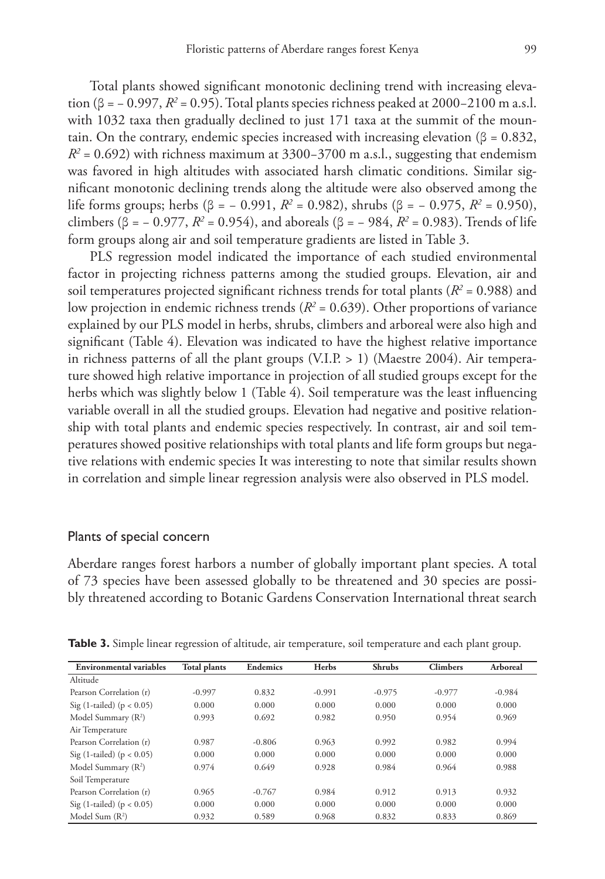Total plants showed significant monotonic declining trend with increasing elevation (β = − 0.997,  $R^2$  = 0.95). Total plants species richness peaked at 2000−2100 m a.s.l. with 1032 taxa then gradually declined to just 171 taxa at the summit of the mountain. On the contrary, endemic species increased with increasing elevation ( $\beta = 0.832$ , *R*<sup>2</sup> = 0.692) with richness maximum at 3300–3700 m a.s.l., suggesting that endemism was favored in high altitudes with associated harsh climatic conditions. Similar significant monotonic declining trends along the altitude were also observed among the life forms groups; herbs (β = − 0.991, *R2* = 0.982), shrubs (β = − 0.975, *R2* = 0.950), climbers (β = − 0.977,  $R^2$  = 0.954), and aboreals (β = − 984,  $R^2$  = 0.983). Trends of life form groups along air and soil temperature gradients are listed in Table 3.

PLS regression model indicated the importance of each studied environmental factor in projecting richness patterns among the studied groups. Elevation, air and soil temperatures projected significant richness trends for total plants ( $R^2$  = 0.988) and low projection in endemic richness trends  $(R^2 = 0.639)$ . Other proportions of variance explained by our PLS model in herbs, shrubs, climbers and arboreal were also high and significant (Table 4). Elevation was indicated to have the highest relative importance in richness patterns of all the plant groups (V.I.P.  $> 1$ ) (Maestre 2004). Air temperature showed high relative importance in projection of all studied groups except for the herbs which was slightly below 1 (Table 4). Soil temperature was the least influencing variable overall in all the studied groups. Elevation had negative and positive relationship with total plants and endemic species respectively. In contrast, air and soil temperatures showed positive relationships with total plants and life form groups but negative relations with endemic species It was interesting to note that similar results shown in correlation and simple linear regression analysis were also observed in PLS model.

### Plants of special concern

Aberdare ranges forest harbors a number of globally important plant species. A total of 73 species have been assessed globally to be threatened and 30 species are possibly threatened according to Botanic Gardens Conservation International threat search

| <b>Environmental variables</b>  | <b>Total plants</b> | <b>Endemics</b> | Herbs    | <b>Shrubs</b> | <b>Climbers</b> | Arboreal |
|---------------------------------|---------------------|-----------------|----------|---------------|-----------------|----------|
| Altitude                        |                     |                 |          |               |                 |          |
| Pearson Correlation (r)         | $-0.997$            | 0.832           | $-0.991$ | $-0.975$      | $-0.977$        | $-0.984$ |
| Sig (1-tailed) ( $p < 0.05$ )   | 0.000               | 0.000           | 0.000    | 0.000         | 0.000           | 0.000    |
| Model Summary $(R^2)$           | 0.993               | 0.692           | 0.982    | 0.950         | 0.954           | 0.969    |
| Air Temperature                 |                     |                 |          |               |                 |          |
| Pearson Correlation (r)         | 0.987               | $-0.806$        | 0.963    | 0.992         | 0.982           | 0.994    |
| Sig (1-tailed) ( $p < 0.05$ )   | 0.000               | 0.000           | 0.000    | 0.000         | 0.000           | 0.000    |
| Model Summary (R <sup>2</sup> ) | 0.974               | 0.649           | 0.928    | 0.984         | 0.964           | 0.988    |
| Soil Temperature                |                     |                 |          |               |                 |          |
| Pearson Correlation (r)         | 0.965               | $-0.767$        | 0.984    | 0.912         | 0.913           | 0.932    |
| Sig (1-tailed) ( $p < 0.05$ )   | 0.000               | 0.000           | 0.000    | 0.000         | 0.000           | 0.000    |
| Model Sum $(R^2)$               | 0.932               | 0.589           | 0.968    | 0.832         | 0.833           | 0.869    |

**Table 3.** Simple linear regression of altitude, air temperature, soil temperature and each plant group.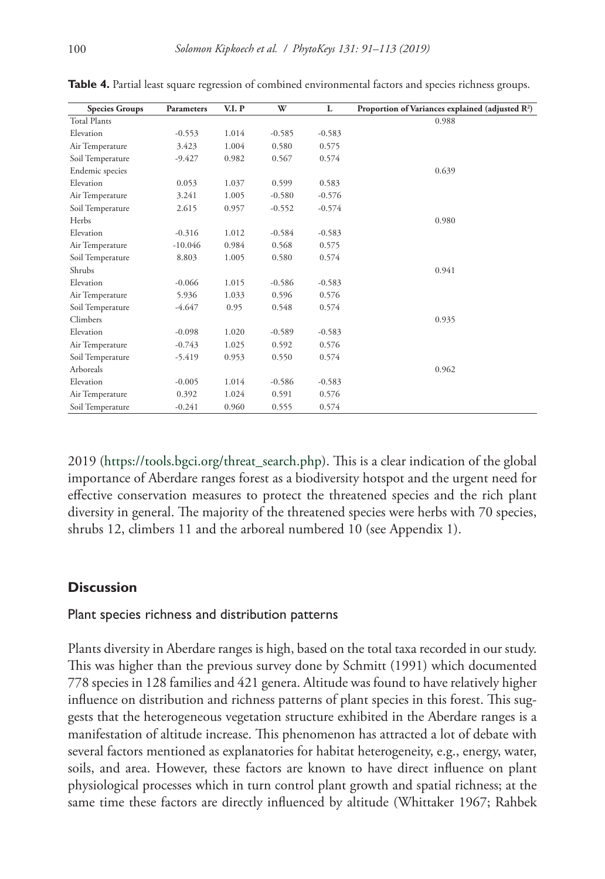| <b>Species Groups</b> | <b>Parameters</b> | V.I. P | W        | L        | Proportion of Variances explained (adjusted $R^2$ ) |
|-----------------------|-------------------|--------|----------|----------|-----------------------------------------------------|
| <b>Total Plants</b>   |                   |        |          |          | 0.988                                               |
| Elevation             | $-0.553$          | 1.014  | $-0.585$ | $-0.583$ |                                                     |
| Air Temperature       | 3.423             | 1.004  | 0.580    | 0.575    |                                                     |
| Soil Temperature      | $-9.427$          | 0.982  | 0.567    | 0.574    |                                                     |
| Endemic species       |                   |        |          |          | 0.639                                               |
| Elevation             | 0.053             | 1.037  | 0.599    | 0.583    |                                                     |
| Air Temperature       | 3.241             | 1.005  | $-0.580$ | $-0.576$ |                                                     |
| Soil Temperature      | 2.615             | 0.957  | $-0.552$ | $-0.574$ |                                                     |
| Herbs                 |                   |        |          |          | 0.980                                               |
| Elevation             | $-0.316$          | 1.012  | $-0.584$ | $-0.583$ |                                                     |
| Air Temperature       | $-10.046$         | 0.984  | 0.568    | 0.575    |                                                     |
| Soil Temperature      | 8.803             | 1.005  | 0.580    | 0.574    |                                                     |
| Shrubs                |                   |        |          |          | 0.941                                               |
| Elevation             | $-0.066$          | 1.015  | $-0.586$ | $-0.583$ |                                                     |
| Air Temperature       | 5.936             | 1.033  | 0.596    | 0.576    |                                                     |
| Soil Temperature      | $-4.647$          | 0.95   | 0.548    | 0.574    |                                                     |
| Climbers              |                   |        |          |          | 0.935                                               |
| Elevation             | $-0.098$          | 1.020  | $-0.589$ | $-0.583$ |                                                     |
| Air Temperature       | $-0.743$          | 1.025  | 0.592    | 0.576    |                                                     |
| Soil Temperature      | $-5.419$          | 0.953  | 0.550    | 0.574    |                                                     |
| Arboreals             |                   |        |          |          | 0.962                                               |
| Elevation             | $-0.005$          | 1.014  | $-0.586$ | $-0.583$ |                                                     |
| Air Temperature       | 0.392             | 1.024  | 0.591    | 0.576    |                                                     |
| Soil Temperature      | $-0.241$          | 0.960  | 0.555    | 0.574    |                                                     |

**Table 4.** Partial least square regression of combined environmental factors and species richness groups.

2019 ([https://tools.bgci.org/threat\\_search.php\)](https://tools.bgci.org/threat_search.php). This is a clear indication of the global importance of Aberdare ranges forest as a biodiversity hotspot and the urgent need for effective conservation measures to protect the threatened species and the rich plant diversity in general. The majority of the threatened species were herbs with 70 species, shrubs 12, climbers 11 and the arboreal numbered 10 (see Appendix 1).

### **Discussion**

### Plant species richness and distribution patterns

Plants diversity in Aberdare ranges is high, based on the total taxa recorded in our study. This was higher than the previous survey done by Schmitt (1991) which documented 778 species in 128 families and 421 genera. Altitude was found to have relatively higher influence on distribution and richness patterns of plant species in this forest. This suggests that the heterogeneous vegetation structure exhibited in the Aberdare ranges is a manifestation of altitude increase. This phenomenon has attracted a lot of debate with several factors mentioned as explanatories for habitat heterogeneity, e.g., energy, water, soils, and area. However, these factors are known to have direct influence on plant physiological processes which in turn control plant growth and spatial richness; at the same time these factors are directly influenced by altitude (Whittaker 1967; Rahbek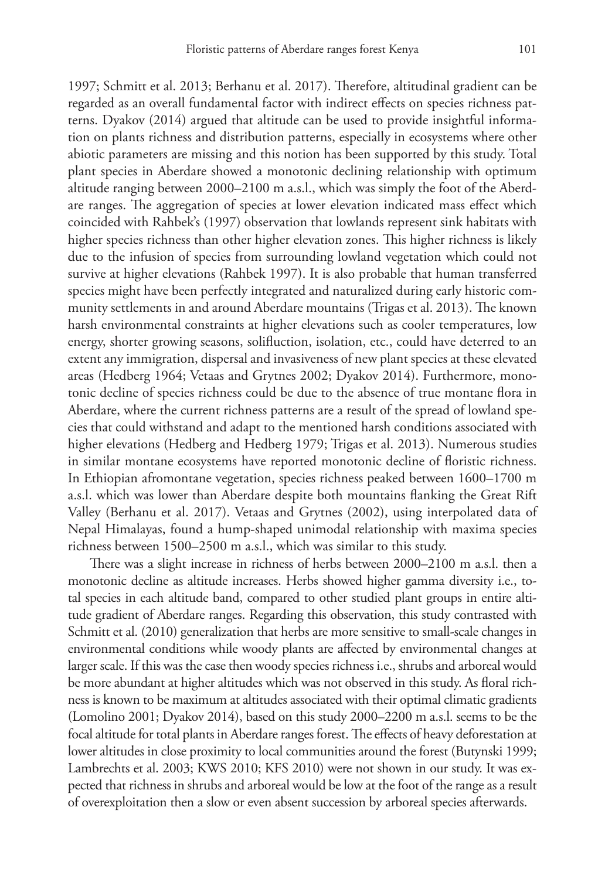1997; Schmitt et al. 2013; Berhanu et al. 2017). Therefore, altitudinal gradient can be regarded as an overall fundamental factor with indirect effects on species richness patterns. Dyakov (2014) argued that altitude can be used to provide insightful information on plants richness and distribution patterns, especially in ecosystems where other abiotic parameters are missing and this notion has been supported by this study. Total plant species in Aberdare showed a monotonic declining relationship with optimum altitude ranging between 2000–2100 m a.s.l., which was simply the foot of the Aberdare ranges. The aggregation of species at lower elevation indicated mass effect which coincided with Rahbek's (1997) observation that lowlands represent sink habitats with higher species richness than other higher elevation zones. This higher richness is likely due to the infusion of species from surrounding lowland vegetation which could not survive at higher elevations (Rahbek 1997). It is also probable that human transferred species might have been perfectly integrated and naturalized during early historic community settlements in and around Aberdare mountains (Trigas et al. 2013). The known harsh environmental constraints at higher elevations such as cooler temperatures, low energy, shorter growing seasons, solifluction, isolation, etc., could have deterred to an extent any immigration, dispersal and invasiveness of new plant species at these elevated areas (Hedberg 1964; Vetaas and Grytnes 2002; Dyakov 2014). Furthermore, monotonic decline of species richness could be due to the absence of true montane flora in Aberdare, where the current richness patterns are a result of the spread of lowland species that could withstand and adapt to the mentioned harsh conditions associated with higher elevations (Hedberg and Hedberg 1979; Trigas et al. 2013). Numerous studies in similar montane ecosystems have reported monotonic decline of floristic richness. In Ethiopian afromontane vegetation, species richness peaked between 1600–1700 m a.s.l. which was lower than Aberdare despite both mountains flanking the Great Rift Valley (Berhanu et al. 2017). Vetaas and Grytnes (2002), using interpolated data of Nepal Himalayas, found a hump-shaped unimodal relationship with maxima species richness between 1500–2500 m a.s.l., which was similar to this study.

There was a slight increase in richness of herbs between 2000–2100 m a.s.l. then a monotonic decline as altitude increases. Herbs showed higher gamma diversity i.e., total species in each altitude band, compared to other studied plant groups in entire altitude gradient of Aberdare ranges. Regarding this observation, this study contrasted with Schmitt et al. (2010) generalization that herbs are more sensitive to small-scale changes in environmental conditions while woody plants are affected by environmental changes at larger scale. If this was the case then woody species richness i.e., shrubs and arboreal would be more abundant at higher altitudes which was not observed in this study. As floral richness is known to be maximum at altitudes associated with their optimal climatic gradients (Lomolino 2001; Dyakov 2014), based on this study 2000–2200 m a.s.l. seems to be the focal altitude for total plants in Aberdare ranges forest. The effects of heavy deforestation at lower altitudes in close proximity to local communities around the forest (Butynski 1999; Lambrechts et al. 2003; KWS 2010; KFS 2010) were not shown in our study. It was expected that richness in shrubs and arboreal would be low at the foot of the range as a result of overexploitation then a slow or even absent succession by arboreal species afterwards.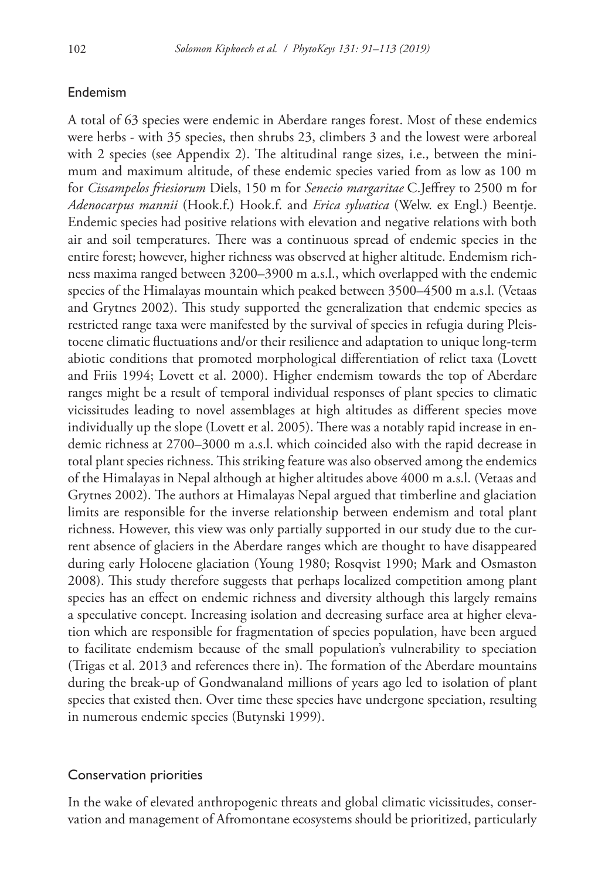### Endemism

A total of 63 species were endemic in Aberdare ranges forest. Most of these endemics were herbs - with 35 species, then shrubs 23, climbers 3 and the lowest were arboreal with 2 species (see Appendix 2). The altitudinal range sizes, i.e., between the minimum and maximum altitude, of these endemic species varied from as low as 100 m for *Cissampelos friesiorum* Diels, 150 m for *Senecio margaritae* C.Jeffrey to 2500 m for *Adenocarpus mannii* (Hook.f.) Hook.f. and *Erica sylvatica* (Welw. ex Engl.) Beentje. Endemic species had positive relations with elevation and negative relations with both air and soil temperatures. There was a continuous spread of endemic species in the entire forest; however, higher richness was observed at higher altitude. Endemism richness maxima ranged between 3200–3900 m a.s.l., which overlapped with the endemic species of the Himalayas mountain which peaked between 3500–4500 m a.s.l. (Vetaas and Grytnes 2002). This study supported the generalization that endemic species as restricted range taxa were manifested by the survival of species in refugia during Pleistocene climatic fluctuations and/or their resilience and adaptation to unique long-term abiotic conditions that promoted morphological differentiation of relict taxa (Lovett and Friis 1994; Lovett et al. 2000). Higher endemism towards the top of Aberdare ranges might be a result of temporal individual responses of plant species to climatic vicissitudes leading to novel assemblages at high altitudes as different species move individually up the slope (Lovett et al. 2005). There was a notably rapid increase in endemic richness at 2700–3000 m a.s.l. which coincided also with the rapid decrease in total plant species richness. This striking feature was also observed among the endemics of the Himalayas in Nepal although at higher altitudes above 4000 m a.s.l. (Vetaas and Grytnes 2002). The authors at Himalayas Nepal argued that timberline and glaciation limits are responsible for the inverse relationship between endemism and total plant richness. However, this view was only partially supported in our study due to the current absence of glaciers in the Aberdare ranges which are thought to have disappeared during early Holocene glaciation (Young 1980; Rosqvist 1990; Mark and Osmaston 2008). This study therefore suggests that perhaps localized competition among plant species has an effect on endemic richness and diversity although this largely remains a speculative concept. Increasing isolation and decreasing surface area at higher elevation which are responsible for fragmentation of species population, have been argued to facilitate endemism because of the small population's vulnerability to speciation (Trigas et al. 2013 and references there in). The formation of the Aberdare mountains during the break-up of Gondwanaland millions of years ago led to isolation of plant species that existed then. Over time these species have undergone speciation, resulting in numerous endemic species (Butynski 1999).

### Conservation priorities

In the wake of elevated anthropogenic threats and global climatic vicissitudes, conservation and management of Afromontane ecosystems should be prioritized, particularly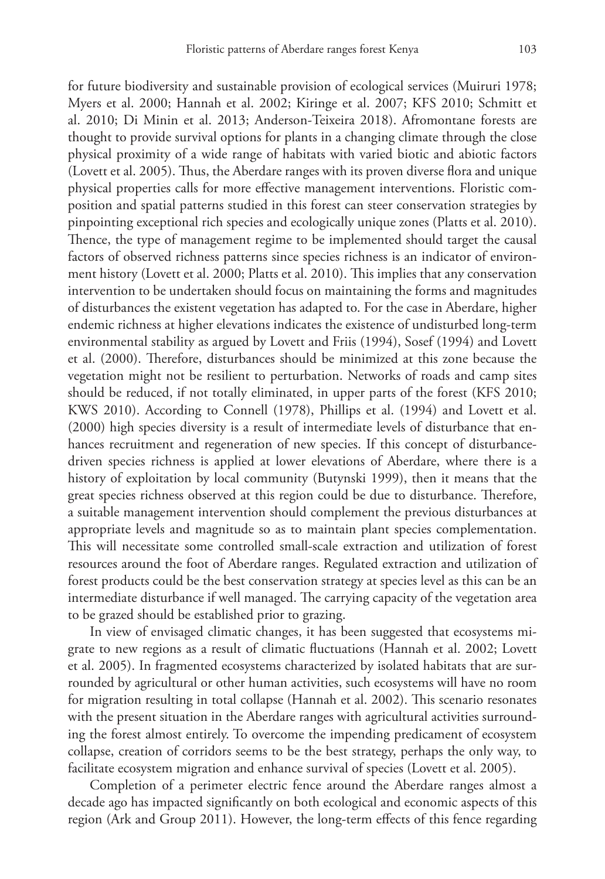for future biodiversity and sustainable provision of ecological services (Muiruri 1978; Myers et al. 2000; Hannah et al. 2002; Kiringe et al. 2007; KFS 2010; Schmitt et al. 2010; Di Minin et al. 2013; Anderson-Teixeira 2018). Afromontane forests are thought to provide survival options for plants in a changing climate through the close physical proximity of a wide range of habitats with varied biotic and abiotic factors (Lovett et al. 2005). Thus, the Aberdare ranges with its proven diverse flora and unique physical properties calls for more effective management interventions. Floristic composition and spatial patterns studied in this forest can steer conservation strategies by pinpointing exceptional rich species and ecologically unique zones (Platts et al. 2010). Thence, the type of management regime to be implemented should target the causal factors of observed richness patterns since species richness is an indicator of environment history (Lovett et al. 2000; Platts et al. 2010). This implies that any conservation intervention to be undertaken should focus on maintaining the forms and magnitudes of disturbances the existent vegetation has adapted to. For the case in Aberdare, higher endemic richness at higher elevations indicates the existence of undisturbed long-term environmental stability as argued by Lovett and Friis (1994), Sosef (1994) and Lovett et al. (2000). Therefore, disturbances should be minimized at this zone because the vegetation might not be resilient to perturbation. Networks of roads and camp sites should be reduced, if not totally eliminated, in upper parts of the forest (KFS 2010; KWS 2010). According to Connell (1978), Phillips et al. (1994) and Lovett et al. (2000) high species diversity is a result of intermediate levels of disturbance that enhances recruitment and regeneration of new species. If this concept of disturbancedriven species richness is applied at lower elevations of Aberdare, where there is a history of exploitation by local community (Butynski 1999), then it means that the great species richness observed at this region could be due to disturbance. Therefore, a suitable management intervention should complement the previous disturbances at appropriate levels and magnitude so as to maintain plant species complementation. This will necessitate some controlled small-scale extraction and utilization of forest resources around the foot of Aberdare ranges. Regulated extraction and utilization of forest products could be the best conservation strategy at species level as this can be an intermediate disturbance if well managed. The carrying capacity of the vegetation area to be grazed should be established prior to grazing.

In view of envisaged climatic changes, it has been suggested that ecosystems migrate to new regions as a result of climatic fluctuations (Hannah et al. 2002; Lovett et al. 2005). In fragmented ecosystems characterized by isolated habitats that are surrounded by agricultural or other human activities, such ecosystems will have no room for migration resulting in total collapse (Hannah et al. 2002). This scenario resonates with the present situation in the Aberdare ranges with agricultural activities surrounding the forest almost entirely. To overcome the impending predicament of ecosystem collapse, creation of corridors seems to be the best strategy, perhaps the only way, to facilitate ecosystem migration and enhance survival of species (Lovett et al. 2005).

Completion of a perimeter electric fence around the Aberdare ranges almost a decade ago has impacted significantly on both ecological and economic aspects of this region (Ark and Group 2011). However, the long-term effects of this fence regarding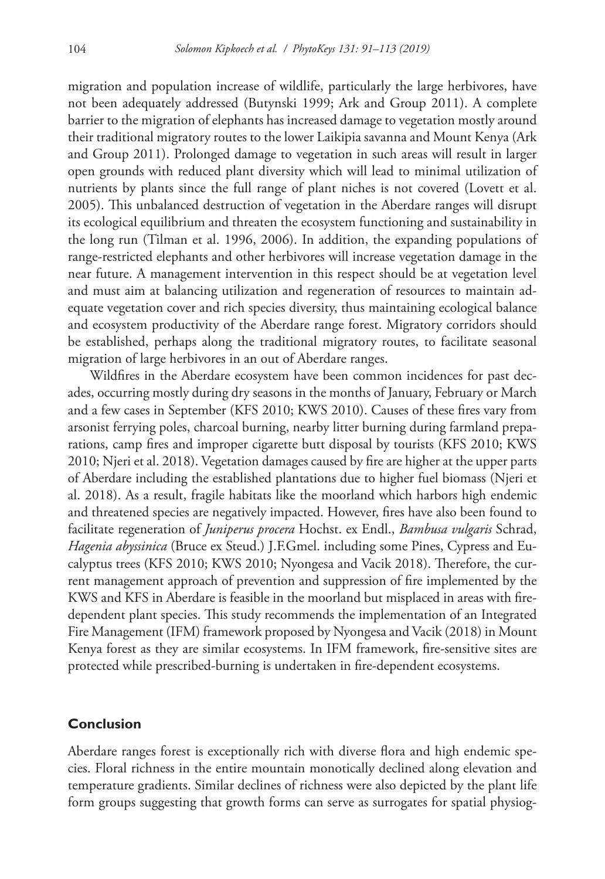migration and population increase of wildlife, particularly the large herbivores, have not been adequately addressed (Butynski 1999; Ark and Group 2011). A complete barrier to the migration of elephants has increased damage to vegetation mostly around their traditional migratory routes to the lower Laikipia savanna and Mount Kenya (Ark and Group 2011). Prolonged damage to vegetation in such areas will result in larger open grounds with reduced plant diversity which will lead to minimal utilization of nutrients by plants since the full range of plant niches is not covered (Lovett et al. 2005). This unbalanced destruction of vegetation in the Aberdare ranges will disrupt its ecological equilibrium and threaten the ecosystem functioning and sustainability in the long run (Tilman et al. 1996, 2006). In addition, the expanding populations of range-restricted elephants and other herbivores will increase vegetation damage in the near future. A management intervention in this respect should be at vegetation level and must aim at balancing utilization and regeneration of resources to maintain adequate vegetation cover and rich species diversity, thus maintaining ecological balance and ecosystem productivity of the Aberdare range forest. Migratory corridors should be established, perhaps along the traditional migratory routes, to facilitate seasonal migration of large herbivores in an out of Aberdare ranges.

Wildfires in the Aberdare ecosystem have been common incidences for past decades, occurring mostly during dry seasons in the months of January, February or March and a few cases in September (KFS 2010; KWS 2010). Causes of these fires vary from arsonist ferrying poles, charcoal burning, nearby litter burning during farmland preparations, camp fires and improper cigarette butt disposal by tourists (KFS 2010; KWS 2010; Njeri et al. 2018). Vegetation damages caused by fire are higher at the upper parts of Aberdare including the established plantations due to higher fuel biomass (Njeri et al. 2018). As a result, fragile habitats like the moorland which harbors high endemic and threatened species are negatively impacted. However, fires have also been found to facilitate regeneration of *Juniperus procera* Hochst. ex Endl., *Bambusa vulgaris* Schrad, *Hagenia abyssinica* (Bruce ex Steud.) J.F.Gmel. including some Pines, Cypress and Eucalyptus trees (KFS 2010; KWS 2010; Nyongesa and Vacik 2018). Therefore, the current management approach of prevention and suppression of fire implemented by the KWS and KFS in Aberdare is feasible in the moorland but misplaced in areas with firedependent plant species. This study recommends the implementation of an Integrated Fire Management (IFM) framework proposed by Nyongesa and Vacik (2018) in Mount Kenya forest as they are similar ecosystems. In IFM framework, fire-sensitive sites are protected while prescribed-burning is undertaken in fire-dependent ecosystems.

### **Conclusion**

Aberdare ranges forest is exceptionally rich with diverse flora and high endemic species. Floral richness in the entire mountain monotically declined along elevation and temperature gradients. Similar declines of richness were also depicted by the plant life form groups suggesting that growth forms can serve as surrogates for spatial physiog-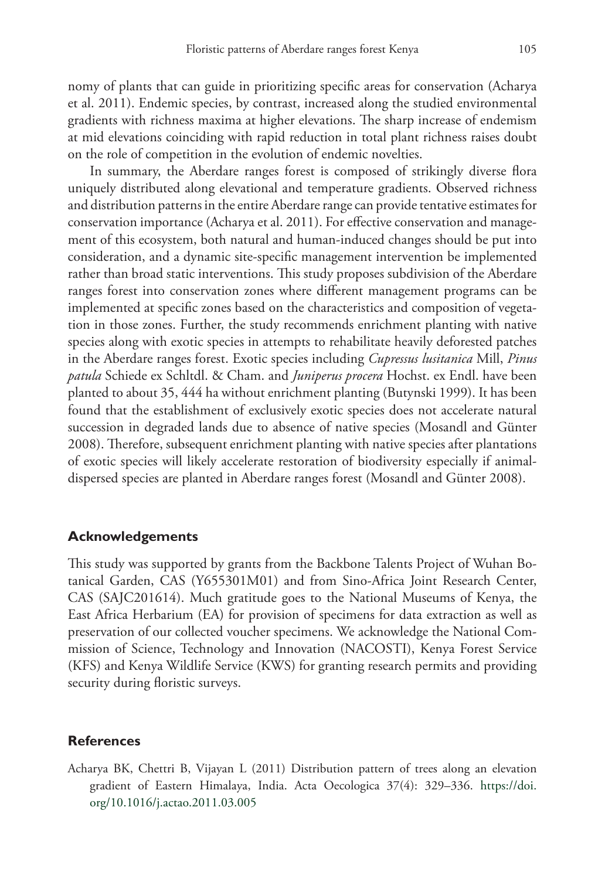nomy of plants that can guide in prioritizing specific areas for conservation (Acharya et al. 2011). Endemic species, by contrast, increased along the studied environmental gradients with richness maxima at higher elevations. The sharp increase of endemism at mid elevations coinciding with rapid reduction in total plant richness raises doubt on the role of competition in the evolution of endemic novelties.

In summary, the Aberdare ranges forest is composed of strikingly diverse flora uniquely distributed along elevational and temperature gradients. Observed richness and distribution patterns in the entire Aberdare range can provide tentative estimates for conservation importance (Acharya et al. 2011). For effective conservation and management of this ecosystem, both natural and human-induced changes should be put into consideration, and a dynamic site-specific management intervention be implemented rather than broad static interventions. This study proposes subdivision of the Aberdare ranges forest into conservation zones where different management programs can be implemented at specific zones based on the characteristics and composition of vegetation in those zones. Further, the study recommends enrichment planting with native species along with exotic species in attempts to rehabilitate heavily deforested patches in the Aberdare ranges forest. Exotic species including *Cupressus lusitanica* Mill, *Pinus patula* Schiede ex Schltdl. & Cham. and *Juniperus procera* Hochst. ex Endl. have been planted to about 35, 444 ha without enrichment planting (Butynski 1999). It has been found that the establishment of exclusively exotic species does not accelerate natural succession in degraded lands due to absence of native species (Mosandl and Günter 2008). Therefore, subsequent enrichment planting with native species after plantations of exotic species will likely accelerate restoration of biodiversity especially if animaldispersed species are planted in Aberdare ranges forest (Mosandl and Günter 2008).

### **Acknowledgements**

This study was supported by grants from the Backbone Talents Project of Wuhan Botanical Garden, CAS (Y655301M01) and from Sino-Africa Joint Research Center, CAS (SAJC201614). Much gratitude goes to the National Museums of Kenya, the East Africa Herbarium (EA) for provision of specimens for data extraction as well as preservation of our collected voucher specimens. We acknowledge the National Commission of Science, Technology and Innovation (NACOSTI), Kenya Forest Service (KFS) and Kenya Wildlife Service (KWS) for granting research permits and providing security during floristic surveys.

### **References**

Acharya BK, Chettri B, Vijayan L (2011) Distribution pattern of trees along an elevation gradient of Eastern Himalaya, India. Acta Oecologica 37(4): 329–336. [https://doi.](https://doi.org/10.1016/j.actao.2011.03.005) [org/10.1016/j.actao.2011.03.005](https://doi.org/10.1016/j.actao.2011.03.005)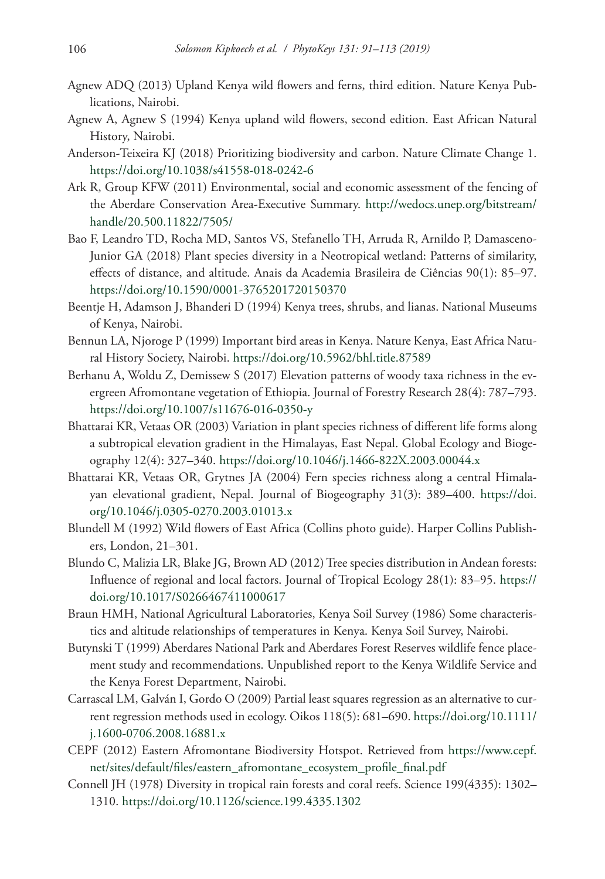- Agnew ADQ (2013) Upland Kenya wild flowers and ferns, third edition. Nature Kenya Publications, Nairobi.
- Agnew A, Agnew S (1994) Kenya upland wild flowers, second edition. East African Natural History, Nairobi.
- Anderson-Teixeira KJ (2018) Prioritizing biodiversity and carbon. Nature Climate Change 1. <https://doi.org/10.1038/s41558-018-0242-6>
- Ark R, Group KFW (2011) Environmental, social and economic assessment of the fencing of the Aberdare Conservation Area-Executive Summary. [http://wedocs.unep.org/bitstream/](http://wedocs.unep.org/bitstream/handle/20.500.11822/7505/) [handle/20.500.11822/7505/](http://wedocs.unep.org/bitstream/handle/20.500.11822/7505/)
- Bao F, Leandro TD, Rocha MD, Santos VS, Stefanello TH, Arruda R, Arnildo P, Damasceno-Junior GA (2018) Plant species diversity in a Neotropical wetland: Patterns of similarity, effects of distance, and altitude. Anais da Academia Brasileira de Ciências 90(1): 85–97. <https://doi.org/10.1590/0001-3765201720150370>
- Beentje H, Adamson J, Bhanderi D (1994) Kenya trees, shrubs, and lianas. National Museums of Kenya, Nairobi.
- Bennun LA, Njoroge P (1999) Important bird areas in Kenya. Nature Kenya, East Africa Natural History Society, Nairobi.<https://doi.org/10.5962/bhl.title.87589>
- Berhanu A, Woldu Z, Demissew S (2017) Elevation patterns of woody taxa richness in the evergreen Afromontane vegetation of Ethiopia. Journal of Forestry Research 28(4): 787–793. <https://doi.org/10.1007/s11676-016-0350-y>
- Bhattarai KR, Vetaas OR (2003) Variation in plant species richness of different life forms along a subtropical elevation gradient in the Himalayas, East Nepal. Global Ecology and Biogeography 12(4): 327–340. <https://doi.org/10.1046/j.1466-822X.2003.00044.x>
- Bhattarai KR, Vetaas OR, Grytnes JA (2004) Fern species richness along a central Himalayan elevational gradient, Nepal. Journal of Biogeography 31(3): 389–400. [https://doi.](https://doi.org/10.1046/j.0305-0270.2003.01013.x) [org/10.1046/j.0305-0270.2003.01013.x](https://doi.org/10.1046/j.0305-0270.2003.01013.x)
- Blundell M (1992) Wild flowers of East Africa (Collins photo guide). Harper Collins Publishers, London, 21–301.
- Blundo C, Malizia LR, Blake JG, Brown AD (2012) Tree species distribution in Andean forests: Influence of regional and local factors. Journal of Tropical Ecology 28(1): 83–95. [https://](https://doi.org/10.1017/S0266467411000617) [doi.org/10.1017/S0266467411000617](https://doi.org/10.1017/S0266467411000617)
- Braun HMH, National Agricultural Laboratories, Kenya Soil Survey (1986) Some characteristics and altitude relationships of temperatures in Kenya. Kenya Soil Survey, Nairobi.
- Butynski T (1999) Aberdares National Park and Aberdares Forest Reserves wildlife fence placement study and recommendations. Unpublished report to the Kenya Wildlife Service and the Kenya Forest Department, Nairobi.
- Carrascal LM, Galván I, Gordo O (2009) Partial least squares regression as an alternative to current regression methods used in ecology. Oikos 118(5): 681–690. [https://doi.org/10.1111/](https://doi.org/10.1111/j.1600-0706.2008.16881.x) [j.1600-0706.2008.16881.x](https://doi.org/10.1111/j.1600-0706.2008.16881.x)
- CEPF (2012) Eastern Afromontane Biodiversity Hotspot. Retrieved from [https://www.cepf.](https://www.cepf.net/sites/default/files/eastern_afromontane_ecosystem_profile_final.pdf) [net/sites/default/files/eastern\\_afromontane\\_ecosystem\\_profile\\_final.pdf](https://www.cepf.net/sites/default/files/eastern_afromontane_ecosystem_profile_final.pdf)
- Connell JH (1978) Diversity in tropical rain forests and coral reefs. Science 199(4335): 1302– 1310.<https://doi.org/10.1126/science.199.4335.1302>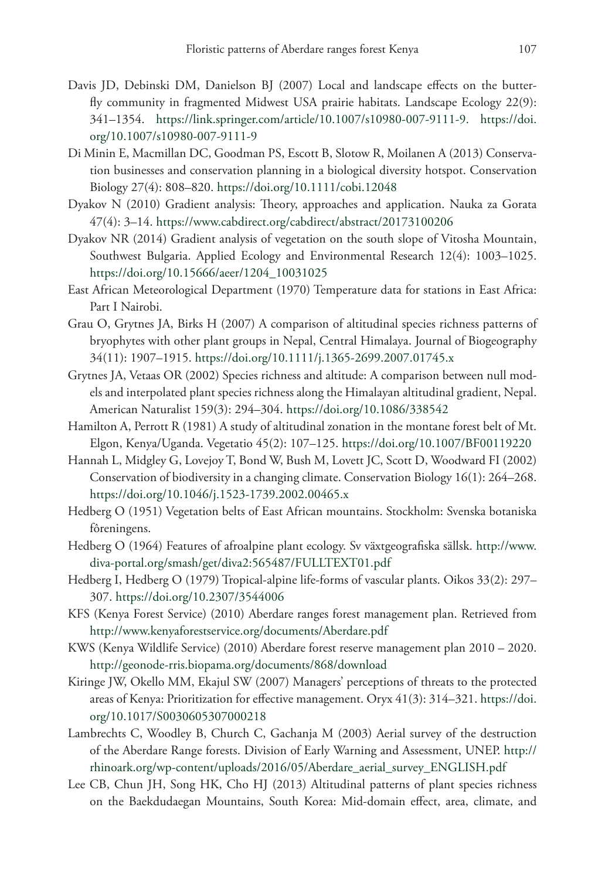- Davis JD, Debinski DM, Danielson BJ (2007) Local and landscape effects on the butterfly community in fragmented Midwest USA prairie habitats. Landscape Ecology 22(9): 341–1354. <https://link.springer.com/article/10.1007/s10980-007-9111-9>. [https://doi.](https://doi.org/10.1007/s10980-007-9111-9) [org/10.1007/s10980-007-9111-9](https://doi.org/10.1007/s10980-007-9111-9)
- Di Minin E, Macmillan DC, Goodman PS, Escott B, Slotow R, Moilanen A (2013) Conservation businesses and conservation planning in a biological diversity hotspot. Conservation Biology 27(4): 808–820. <https://doi.org/10.1111/cobi.12048>
- Dyakov N (2010) Gradient analysis: Theory, approaches and application. Nauka za Gorata 47(4): 3–14. <https://www.cabdirect.org/cabdirect/abstract/20173100206>
- Dyakov NR (2014) Gradient analysis of vegetation on the south slope of Vitosha Mountain, Southwest Bulgaria. Applied Ecology and Environmental Research 12(4): 1003–1025. [https://doi.org/10.15666/aeer/1204\\_10031025](https://doi.org/10.15666/aeer/1204_10031025)
- East African Meteorological Department (1970) Temperature data for stations in East Africa: Part I Nairobi.
- Grau O, Grytnes JA, Birks H (2007) A comparison of altitudinal species richness patterns of bryophytes with other plant groups in Nepal, Central Himalaya. Journal of Biogeography 34(11): 1907–1915. <https://doi.org/10.1111/j.1365-2699.2007.01745.x>
- Grytnes JA, Vetaas OR (2002) Species richness and altitude: A comparison between null models and interpolated plant species richness along the Himalayan altitudinal gradient, Nepal. American Naturalist 159(3): 294–304. <https://doi.org/10.1086/338542>
- Hamilton A, Perrott R (1981) A study of altitudinal zonation in the montane forest belt of Mt. Elgon, Kenya/Uganda. Vegetatio 45(2): 107–125.<https://doi.org/10.1007/BF00119220>
- Hannah L, Midgley G, Lovejoy T, Bond W, Bush M, Lovett JC, Scott D, Woodward FI (2002) Conservation of biodiversity in a changing climate. Conservation Biology 16(1): 264–268. <https://doi.org/10.1046/j.1523-1739.2002.00465.x>
- Hedberg O (1951) Vegetation belts of East African mountains. Stockholm: Svenska botaniska fôreningens.
- Hedberg O (1964) Features of afroalpine plant ecology. Sv växtgeografiska sällsk. [http://www.](http://www.diva-portal.org/smash/get/diva2:565487/FULLTEXT01.pdf) [diva-portal.org/smash/get/diva2:565487/FULLTEXT01.pdf](http://www.diva-portal.org/smash/get/diva2:565487/FULLTEXT01.pdf)
- Hedberg I, Hedberg O (1979) Tropical-alpine life-forms of vascular plants. Oikos 33(2): 297– 307.<https://doi.org/10.2307/3544006>
- KFS (Kenya Forest Service) (2010) Aberdare ranges forest management plan. Retrieved from <http://www.kenyaforestservice.org/documents/Aberdare.pdf>
- KWS (Kenya Wildlife Service) (2010) Aberdare forest reserve management plan 2010 2020. <http://geonode-rris.biopama.org/documents/868/download>
- Kiringe JW, Okello MM, Ekajul SW (2007) Managers' perceptions of threats to the protected areas of Kenya: Prioritization for effective management. Oryx 41(3): 314–321. [https://doi.](https://doi.org/10.1017/S0030605307000218) [org/10.1017/S0030605307000218](https://doi.org/10.1017/S0030605307000218)
- Lambrechts C, Woodley B, Church C, Gachanja M (2003) Aerial survey of the destruction of the Aberdare Range forests. Division of Early Warning and Assessment, UNEP. [http://](http://rhinoark.org/wp-content/uploads/2016/05/Aberdare_aerial_survey_ENGLISH.pdf) [rhinoark.org/wp-content/uploads/2016/05/Aberdare\\_aerial\\_survey\\_ENGLISH.pdf](http://rhinoark.org/wp-content/uploads/2016/05/Aberdare_aerial_survey_ENGLISH.pdf)
- Lee CB, Chun JH, Song HK, Cho HJ (2013) Altitudinal patterns of plant species richness on the Baekdudaegan Mountains, South Korea: Mid-domain effect, area, climate, and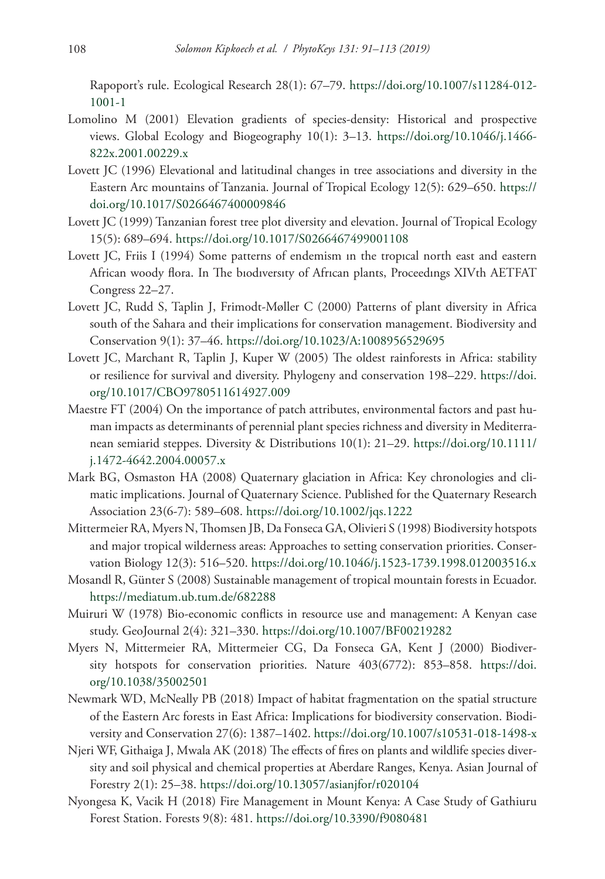Rapoport's rule. Ecological Research 28(1): 67–79. [https://doi.org/10.1007/s11284-012-](https://doi.org/10.1007/s11284-012-1001-1) [1001-1](https://doi.org/10.1007/s11284-012-1001-1)

- Lomolino M (2001) Elevation gradients of species-density: Historical and prospective views. Global Ecology and Biogeography 10(1): 3–13. [https://doi.org/10.1046/j.1466-](https://doi.org/10.1046/j.1466-822x.2001.00229.x) [822x.2001.00229.x](https://doi.org/10.1046/j.1466-822x.2001.00229.x)
- Lovett JC (1996) Elevational and latitudinal changes in tree associations and diversity in the Eastern Arc mountains of Tanzania. Journal of Tropical Ecology 12(5): 629–650. [https://](https://doi.org/10.1017/S0266467400009846) [doi.org/10.1017/S0266467400009846](https://doi.org/10.1017/S0266467400009846)
- Lovett JC (1999) Tanzanian forest tree plot diversity and elevation. Journal of Tropical Ecology 15(5): 689–694. <https://doi.org/10.1017/S0266467499001108>
- Lovett JC, Friis I (1994) Some patterns of endemism ın the tropıcal north east and eastern African woody flora. In The bıodıversıty of Afrıcan plants, Proceedıngs XIVth AETFAT Congress 22–27.
- Lovett JC, Rudd S, Taplin J, Frimodt-Møller C (2000) Patterns of plant diversity in Africa south of the Sahara and their implications for conservation management. Biodiversity and Conservation 9(1): 37–46.<https://doi.org/10.1023/A:1008956529695>
- Lovett JC, Marchant R, Taplin J, Kuper W (2005) The oldest rainforests in Africa: stability or resilience for survival and diversity. Phylogeny and conservation 198–229. [https://doi.](https://doi.org/10.1017/CBO9780511614927.009) [org/10.1017/CBO9780511614927.009](https://doi.org/10.1017/CBO9780511614927.009)
- Maestre FT (2004) On the importance of patch attributes, environmental factors and past human impacts as determinants of perennial plant species richness and diversity in Mediterranean semiarid steppes. Diversity & Distributions 10(1): 21–29. [https://doi.org/10.1111/](https://doi.org/10.1111/j.1472-4642.2004.00057.x) [j.1472-4642.2004.00057.x](https://doi.org/10.1111/j.1472-4642.2004.00057.x)
- Mark BG, Osmaston HA (2008) Quaternary glaciation in Africa: Key chronologies and climatic implications. Journal of Quaternary Science. Published for the Quaternary Research Association 23(6‐7): 589–608.<https://doi.org/10.1002/jqs.1222>
- Mittermeier RA, Myers N, Thomsen JB, Da Fonseca GA, Olivieri S (1998) Biodiversity hotspots and major tropical wilderness areas: Approaches to setting conservation priorities. Conservation Biology 12(3): 516–520.<https://doi.org/10.1046/j.1523-1739.1998.012003516.x>
- Mosandl R, Günter S (2008) Sustainable management of tropical mountain forests in Ecuador. <https://mediatum.ub.tum.de/682288>
- Muiruri W (1978) Bio-economic conflicts in resource use and management: A Kenyan case study. GeoJournal 2(4): 321–330. <https://doi.org/10.1007/BF00219282>
- Myers N, Mittermeier RA, Mittermeier CG, Da Fonseca GA, Kent J (2000) Biodiversity hotspots for conservation priorities. Nature 403(6772): 853–858. [https://doi.](https://doi.org/10.1038/35002501) [org/10.1038/35002501](https://doi.org/10.1038/35002501)
- Newmark WD, McNeally PB (2018) Impact of habitat fragmentation on the spatial structure of the Eastern Arc forests in East Africa: Implications for biodiversity conservation. Biodiversity and Conservation 27(6): 1387–1402.<https://doi.org/10.1007/s10531-018-1498-x>
- Njeri WF, Githaiga J, Mwala AK (2018) The effects of fires on plants and wildlife species diversity and soil physical and chemical properties at Aberdare Ranges, Kenya. Asian Journal of Forestry 2(1): 25–38. <https://doi.org/10.13057/asianjfor/r020104>
- Nyongesa K, Vacik H (2018) Fire Management in Mount Kenya: A Case Study of Gathiuru Forest Station. Forests 9(8): 481.<https://doi.org/10.3390/f9080481>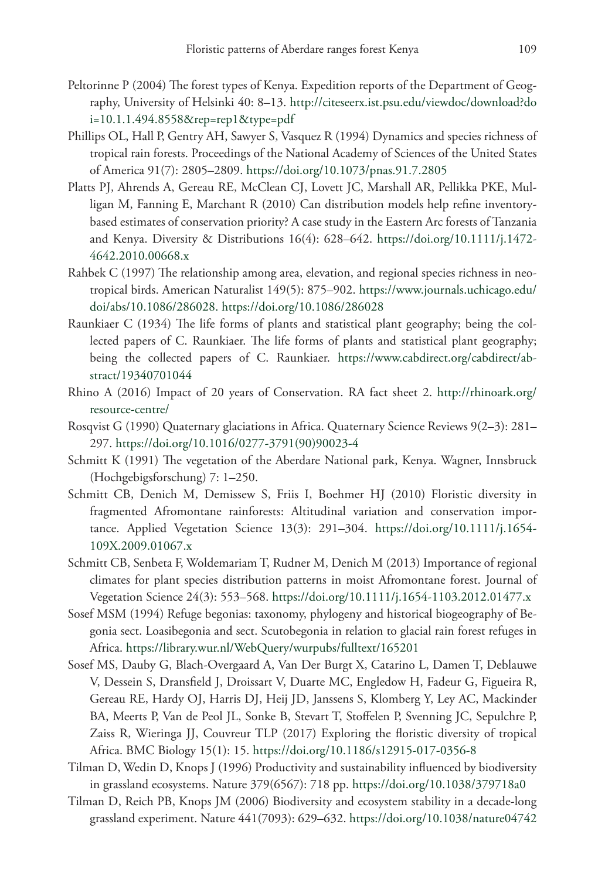- Peltorinne P (2004) The forest types of Kenya. Expedition reports of the Department of Geography, University of Helsinki 40: 8–13. [http://citeseerx.ist.psu.edu/viewdoc/download?do](http://citeseerx.ist.psu.edu/viewdoc/download?doi=10.1.1.494.8558&rep=rep1&type=pdf) [i=10.1.1.494.8558&rep=rep1&type=pdf](http://citeseerx.ist.psu.edu/viewdoc/download?doi=10.1.1.494.8558&rep=rep1&type=pdf)
- Phillips OL, Hall P, Gentry AH, Sawyer S, Vasquez R (1994) Dynamics and species richness of tropical rain forests. Proceedings of the National Academy of Sciences of the United States of America 91(7): 2805–2809. <https://doi.org/10.1073/pnas.91.7.2805>
- Platts PJ, Ahrends A, Gereau RE, McClean CJ, Lovett JC, Marshall AR, Pellikka PKE, Mulligan M, Fanning E, Marchant R (2010) Can distribution models help refine inventory‐ based estimates of conservation priority? A case study in the Eastern Arc forests of Tanzania and Kenya. Diversity & Distributions 16(4): 628–642. [https://doi.org/10.1111/j.1472-](https://doi.org/10.1111/j.1472-4642.2010.00668.x) [4642.2010.00668.x](https://doi.org/10.1111/j.1472-4642.2010.00668.x)
- Rahbek C (1997) The relationship among area, elevation, and regional species richness in neotropical birds. American Naturalist 149(5): 875–902. [https://www.journals.uchicago.edu/](https://www.journals.uchicago.edu/doi/abs/10.1086/286028) [doi/abs/10.1086/286028.](https://www.journals.uchicago.edu/doi/abs/10.1086/286028) <https://doi.org/10.1086/286028>
- Raunkiaer C (1934) The life forms of plants and statistical plant geography; being the collected papers of C. Raunkiaer. The life forms of plants and statistical plant geography; being the collected papers of C. Raunkiaer. [https://www.cabdirect.org/cabdirect/ab](https://www.cabdirect.org/cabdirect/abstract/19340701044)[stract/19340701044](https://www.cabdirect.org/cabdirect/abstract/19340701044)
- Rhino A (2016) Impact of 20 years of Conservation. RA fact sheet 2. [http://rhinoark.org/](http://rhinoark.org/resource-centre/) [resource-centre/](http://rhinoark.org/resource-centre/)
- Rosqvist G (1990) Quaternary glaciations in Africa. Quaternary Science Reviews 9(2–3): 281– 297. [https://doi.org/10.1016/0277-3791\(90\)90023-4](https://doi.org/10.1016/0277-3791(90)90023-4)
- Schmitt K (1991) The vegetation of the Aberdare National park, Kenya. Wagner, Innsbruck (Hochgebigsforschung) 7: 1–250.
- Schmitt CB, Denich M, Demissew S, Friis I, Boehmer HJ (2010) Floristic diversity in fragmented Afromontane rainforests: Altitudinal variation and conservation importance. Applied Vegetation Science 13(3): 291–304. [https://doi.org/10.1111/j.1654-](https://doi.org/10.1111/j.1654-109X.2009.01067.x) [109X.2009.01067.x](https://doi.org/10.1111/j.1654-109X.2009.01067.x)
- Schmitt CB, Senbeta F, Woldemariam T, Rudner M, Denich M (2013) Importance of regional climates for plant species distribution patterns in moist Afromontane forest. Journal of Vegetation Science 24(3): 553–568.<https://doi.org/10.1111/j.1654-1103.2012.01477.x>
- Sosef MSM (1994) Refuge begonias: taxonomy, phylogeny and historical biogeography of Begonia sect. Loasibegonia and sect. Scutobegonia in relation to glacial rain forest refuges in Africa. <https://library.wur.nl/WebQuery/wurpubs/fulltext/165201>
- Sosef MS, Dauby G, Blach-Overgaard A, Van Der Burgt X, Catarino L, Damen T, Deblauwe V, Dessein S, Dransfield J, Droissart V, Duarte MC, Engledow H, Fadeur G, Figueira R, Gereau RE, Hardy OJ, Harris DJ, Heij JD, Janssens S, Klomberg Y, Ley AC, Mackinder BA, Meerts P, Van de Peol JL, Sonke B, Stevart T, Stoffelen P, Svenning JC, Sepulchre P, Zaiss R, Wieringa JJ, Couvreur TLP (2017) Exploring the floristic diversity of tropical Africa. BMC Biology 15(1): 15. <https://doi.org/10.1186/s12915-017-0356-8>
- Tilman D, Wedin D, Knops J (1996) Productivity and sustainability influenced by biodiversity in grassland ecosystems. Nature 379(6567): 718 pp. <https://doi.org/10.1038/379718a0>
- Tilman D, Reich PB, Knops JM (2006) Biodiversity and ecosystem stability in a decade-long grassland experiment. Nature 441(7093): 629–632.<https://doi.org/10.1038/nature04742>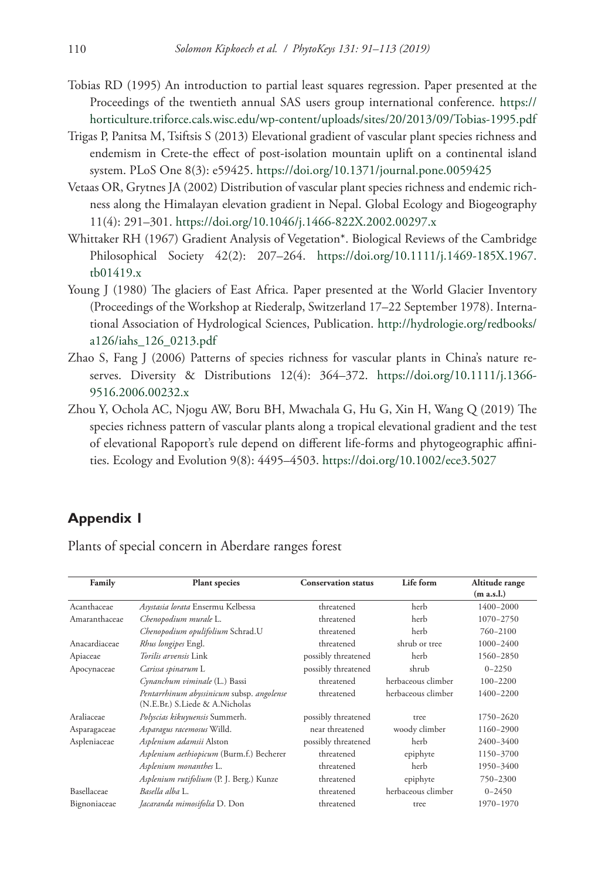- Tobias RD (1995) An introduction to partial least squares regression. Paper presented at the Proceedings of the twentieth annual SAS users group international conference. [https://](https://horticulture.triforce.cals.wisc.edu/wp-content/uploads/sites/20/2013/09/Tobias-1995.pdf) [horticulture.triforce.cals.wisc.edu/wp-content/uploads/sites/20/2013/09/Tobias-1995.pdf](https://horticulture.triforce.cals.wisc.edu/wp-content/uploads/sites/20/2013/09/Tobias-1995.pdf)
- Trigas P, Panitsa M, Tsiftsis S (2013) Elevational gradient of vascular plant species richness and endemism in Crete-the effect of post-isolation mountain uplift on a continental island system. PLoS One 8(3): e59425.<https://doi.org/10.1371/journal.pone.0059425>
- Vetaas OR, Grytnes JA (2002) Distribution of vascular plant species richness and endemic richness along the Himalayan elevation gradient in Nepal. Global Ecology and Biogeography 11(4): 291–301. <https://doi.org/10.1046/j.1466-822X.2002.00297.x>
- Whittaker RH (1967) Gradient Analysis of Vegetation\*. Biological Reviews of the Cambridge Philosophical Society 42(2): 207–264. [https://doi.org/10.1111/j.1469-185X.1967.](https://doi.org/10.1111/j.1469-185X.1967.tb01419.x) [tb01419.x](https://doi.org/10.1111/j.1469-185X.1967.tb01419.x)
- Young J (1980) The glaciers of East Africa. Paper presented at the World Glacier Inventory (Proceedings of the Workshop at Riederalp, Switzerland 17–22 September 1978). International Association of Hydrological Sciences, Publication. [http://hydrologie.org/redbooks/](http://hydrologie.org/redbooks/a126/iahs_126_0213.pdf) [a126/iahs\\_126\\_0213.pdf](http://hydrologie.org/redbooks/a126/iahs_126_0213.pdf)
- Zhao S, Fang J (2006) Patterns of species richness for vascular plants in China's nature reserves. Diversity & Distributions 12(4): 364–372. [https://doi.org/10.1111/j.1366-](https://doi.org/10.1111/j.1366-9516.2006.00232.x) [9516.2006.00232.x](https://doi.org/10.1111/j.1366-9516.2006.00232.x)
- Zhou Y, Ochola AC, Njogu AW, Boru BH, Mwachala G, Hu G, Xin H, Wang Q (2019) The species richness pattern of vascular plants along a tropical elevational gradient and the test of elevational Rapoport's rule depend on different life‐forms and phytogeographic affinities. Ecology and Evolution 9(8): 4495–4503.<https://doi.org/10.1002/ece3.5027>

### **Appendix 1**

Plants of special concern in Aberdare ranges forest

| Family        | <b>Plant species</b>                      | <b>Conservation status</b> | Life form          | Altitude range |
|---------------|-------------------------------------------|----------------------------|--------------------|----------------|
|               |                                           |                            |                    | (m a.s.l.)     |
| Acanthaceae   | Asystasia lorata Ensermu Kelbessa         | threatened                 | herb               | 1400-2000      |
| Amaranthaceae | Chenopodium murale L.                     | threatened                 | herb               | 1070-2750      |
|               | Chenopodium opulifolium Schrad.U          | threatened                 | herb               | 760-2100       |
| Anacardiaceae | Rhus longipes Engl.                       | threatened                 | shrub or tree      | $1000 - 2400$  |
| Apiaceae      | <i>Torilis arvensis</i> Link              | possibly threatened        | herb               | 1560-2850      |
| Apocynaceae   | Carissa spinarum L                        | possibly threatened        | shrub              | $0 - 2250$     |
|               | Cynanchum viminale (L.) Bassi             | threatened                 | herbaceous climber | $100 - 2200$   |
|               | Pentarrhinum abyssinicum subsp. angolense | threatened                 | herbaceous climber | 1400-2200      |
|               | (N.E.Br.) S.Liede & A.Nicholas            |                            |                    |                |
| Araliaceae    | Polyscias kikuyuensis Summerh.            | possibly threatened        | tree               | 1750-2620      |
| Asparagaceae  | Asparagus racemosus Willd.                | near threatened            | woody climber      | 1160-2900      |
| Aspleniaceae  | Asplenium adamsii Alston                  | possibly threatened        | herb               | 2400-3400      |
|               | Asplenium aethiopicum (Burm.f.) Becherer  | threatened                 | epiphyte           | 1150-3700      |
|               | Asplenium monanthes L.                    | threatened                 | herb               | 1950-3400      |
|               | Asplenium rutifolium (P. J. Berg.) Kunze  | threatened                 | epiphyte           | 750-2300       |
| Basellaceae   | Basella alba L.                           | threatened                 | herbaceous climber | $0 - 2450$     |
| Bignoniaceae  | Jacaranda mimosifolia D. Don              | threatened                 | tree.              | 1970-1970      |
|               |                                           |                            |                    |                |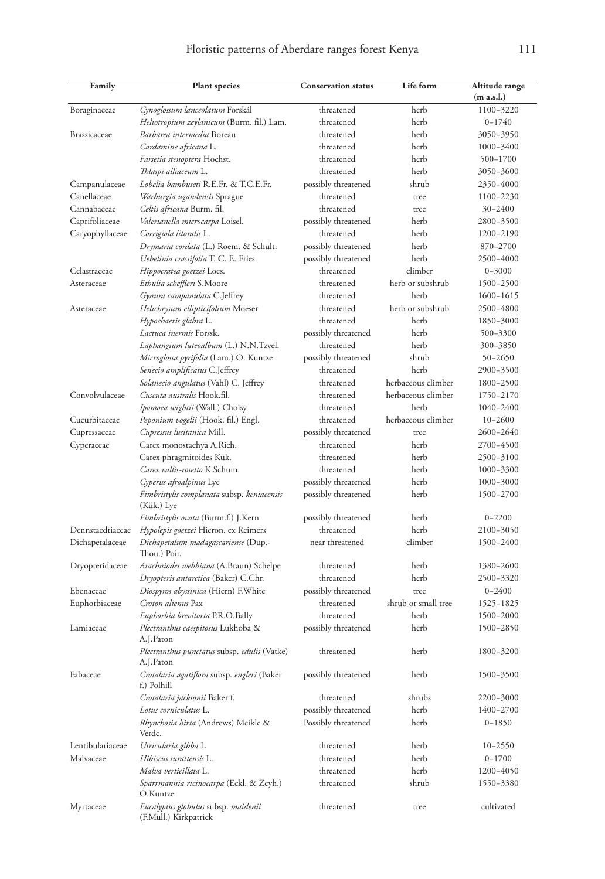| Family           | <b>Plant</b> species                                         | <b>Conservation status</b> | Life form           | Altitude range |
|------------------|--------------------------------------------------------------|----------------------------|---------------------|----------------|
|                  |                                                              |                            |                     | (m a.s.l.)     |
| Boraginaceae     | Cynoglossum lanceolatum Forskál                              | threatened                 | herb                | 1100-3220      |
|                  | Heliotropium zeylanicum (Burm. fil.) Lam.                    | threatened                 | herb                | $0 - 1740$     |
| Brassicaceae     | Barbarea intermedia Boreau                                   | threatened                 | herb                | 3050-3950      |
|                  | Cardamine africana L.                                        | threatened                 | herb                | 1000-3400      |
|                  | Farsetia stenoptera Hochst.                                  | threatened                 | herb                | 500-1700       |
|                  | Thlaspi alliaceum L.                                         | threatened                 | herb                | 3050-3600      |
| Campanulaceae    | Lobelia bambuseti R.E.Fr. & T.C.E.Fr.                        | possibly threatened        | shrub               | 2350-4000      |
| Canellaceae      | Warburgia ugandensis Sprague                                 | threatened                 | tree                | 1100-2230      |
| Cannabaceae      | Celtis africana Burm. fil.                                   | threatened                 | tree                | 30–2400        |
| Caprifoliaceae   | Valerianella microcarpa Loisel.                              | possibly threatened        | herb                | 2800-3500      |
| Caryophyllaceae  | Corrigiola litoralis L.                                      | threatened                 | herb                | 1200-2190      |
|                  | <i>Drymaria cordata</i> (L.) Roem. & Schult.                 | possibly threatened        | herb                | 870-2700       |
|                  | Uebelinia crassifolia T. C. E. Fries                         | possibly threatened        | herb                | 2500-4000      |
| Celastraceae     | Hippocratea goetzei Loes.                                    | threatened                 | climber             | $0 - 3000$     |
| Asteraceae       | Ethulia scheffleri S.Moore                                   | threatened                 | herb or subshrub    | 1500-2500      |
|                  | Gynura campanulata C.Jeffrey                                 | threatened                 | herb                | 1600-1615      |
| Asteraceae       | Helichrysum ellipticifolium Moeser                           | threatened                 | herb or subshrub    | 2500-4800      |
|                  | Hypochaeris glabra L.                                        | threatened                 | herb                | 1850-3000      |
|                  | Lactuca inermis Forssk.                                      | possibly threatened        | herb                | 500-3300       |
|                  | Laphangium luteoalbum (L.) N.N.Tzvel.                        | threatened                 | herb                | 300-3850       |
|                  | Microglossa pyrifolia (Lam.) O. Kuntze                       | possibly threatened        | shrub               | 50-2650        |
|                  | Senecio amplificatus C.Jeffrey                               | threatened                 | herb                | 2900-3500      |
|                  | Solanecio angulatus (Vahl) C. Jeffrey                        | threatened                 | herbaceous climber  | 1800-2500      |
| Convolvulaceae   | Cuscuta australis Hook.fil.                                  | threatened                 | herbaceous climber  | 1750-2170      |
|                  | Ipomoea wightii (Wall.) Choisy                               | threatened                 | herb                | 1040-2400      |
| Cucurbitaceae    | Peponium vogelii (Hook. fil.) Engl.                          | threatened                 | herbaceous climber  | $10 - 2600$    |
| Cupressaceae     | Cupressus lusitanica Mill.                                   | possibly threatened        | tree                | 2600-2640      |
| Cyperaceae       | Carex monostachya A.Rich.                                    | threatened                 | herb                | 2700-4500      |
|                  | Carex phragmitoides Kük.                                     | threatened                 | herb                | 2500-3100      |
|                  | Carex vallis-rosetto K.Schum.                                | threatened                 | herb                | 1000-3300      |
|                  | Cyperus afroalpinus Lye                                      | possibly threatened        | herb                | 1000-3000      |
|                  | Fimbristylis complanata subsp. keniaeensis<br>(Kük.) Lye     | possibly threatened        | herb                | 1500-2700      |
|                  | Fimbristylis ovata (Burm.f.) J.Kern                          | possibly threatened        | herb                | $0 - 2200$     |
| Dennstaedtiaceae | Hypolepis goetzei Hieron. ex Reimers                         | threatened                 | herb                | 2100-3050      |
| Dichapetalaceae  | Dichapetalum madagascariense (Dup.-<br>Thou.) Poir.          | near threatened            | climber             | 1500-2400      |
| Dryopteridaceae  | Arachniodes webbiana (A.Braun) Schelpe                       | threatened                 | herb                | 1380-2600      |
|                  | Dryopteris antarctica (Baker) C.Chr.                         | threatened                 | herb                | 2500-3320      |
| Ebenaceae        | Diospyros abyssinica (Hiern) F.White                         | possibly threatened        | tree                | $0 - 2400$     |
| Euphorbiaceae    | Croton alienus Pax                                           | threatened                 | shrub or small tree | 1525-1825      |
|                  | Euphorbia brevitorta P.R.O.Bally                             | threatened                 | herb                | 1500-2000      |
| Lamiaceae        | Plectranthus caespitosus Lukhoba &<br>A.J.Paton              | possibly threatened        | herb                | 1500-2850      |
|                  | Plectranthus punctatus subsp. edulis (Vatke)<br>A.J.Paton    | threatened                 | herb                | 1800-3200      |
| Fabaceae         | Crotalaria agatiflora subsp. engleri (Baker<br>f.) Polhill   | possibly threatened        | herb                | 1500-3500      |
|                  | Crotalaria jacksonii Baker f.                                | threatened                 | shrubs              | 2200–3000      |
|                  | Lotus corniculatus L.                                        | possibly threatened        | herb                | 1400-2700      |
|                  | Rhynchosia hirta (Andrews) Meikle &<br>Verdc.                | Possibly threatened        | herb                | $0 - 1850$     |
| Lentibulariaceae | Utricularia gibba L                                          | threatened                 | herb                | 10-2550        |
| Malvaceae        | Hibiscus surattensis L.                                      | threatened                 | herb                | $0 - 1700$     |
|                  | Malva verticillata L.                                        | threatened                 | herb                | 1200-4050      |
|                  | Sparrmannia ricinocarpa (Eckl. & Zeyh.)<br>O.Kuntze          | threatened                 | shrub               | 1550-3380      |
| Myrtaceae        | Eucalyptus globulus subsp. maidenii<br>(F.Müll.) Kirkpatrick | threatened                 | tree                | cultivated     |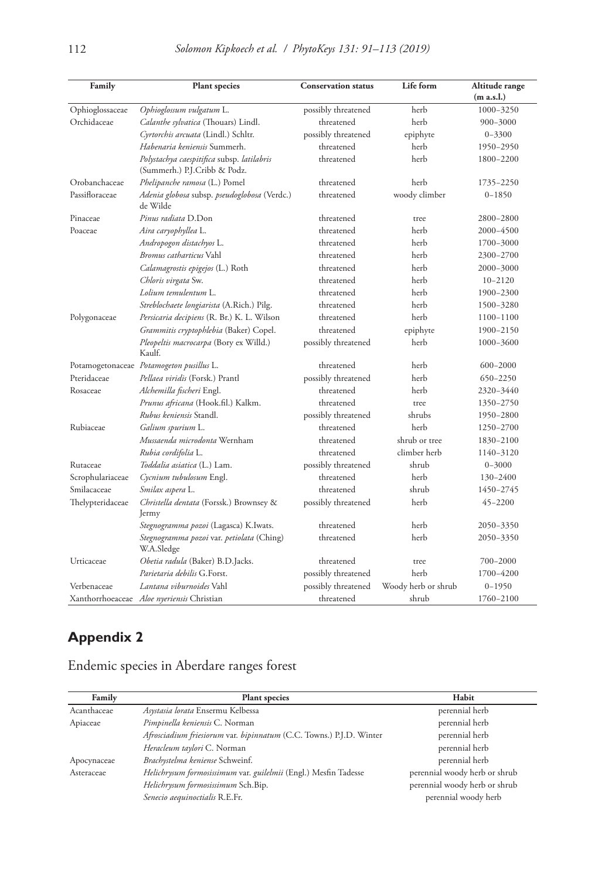| Family           | <b>Plant</b> species                                                       | <b>Conservation status</b> | Life form           | Altitude range<br>(m a.s.l.) |
|------------------|----------------------------------------------------------------------------|----------------------------|---------------------|------------------------------|
| Ophioglossaceae  | Ophioglossum vulgatum L.                                                   | possibly threatened        | herb                | 1000-3250                    |
| Orchidaceae      | Calanthe sylvatica (Thouars) Lindl.                                        | threatened                 | herb                | 900-3000                     |
|                  | Cyrtorchis arcuata (Lindl.) Schltr.                                        | possibly threatened        | epiphyte            | $0 - 3300$                   |
|                  | Habenaria keniensis Summerh.                                               | threatened                 | herb                | 1950-2950                    |
|                  | Polystachya caespitifica subsp. latilabris<br>(Summerh.) P.J.Cribb & Podz. | threatened                 | herb                | 1800-2200                    |
| Orobanchaceae    | Phelipanche ramosa (L.) Pomel                                              | threatened                 | herb                | 1735-2250                    |
| Passifloraceae   | Adenia globosa subsp. pseudoglobosa (Verdc.)<br>de Wilde                   | threatened                 | woody climber       | $0 - 1850$                   |
| Pinaceae         | Pinus radiata D.Don                                                        | threatened                 | tree                | 2800-2800                    |
| Poaceae          | Aira caryophyllea L.                                                       | threatened                 | herb                | 2000-4500                    |
|                  | Andropogon distachyos L.                                                   | threatened                 | herb                | 1700-3000                    |
|                  | Bromus catharticus Vahl                                                    | threatened                 | herb                | 2300-2700                    |
|                  | <i>Calamagrostis epigejos</i> (L.) Roth                                    | threatened                 | herb                | 2000-3000                    |
|                  | Chloris virgata Sw.                                                        | threatened                 | herb                | $10 - 2120$                  |
|                  | Lolium temulentum L.                                                       | threatened                 | herb                | 1900-2300                    |
|                  | Streblochaete longiarista (A.Rich.) Pilg.                                  | threatened                 | herb                | 1500-3280                    |
| Polygonaceae     | Persicaria decipiens (R. Br.) K. L. Wilson                                 | threatened                 | herb                | 1100-1100                    |
|                  | Grammitis cryptophlebia (Baker) Copel.                                     | threatened                 | epiphyte            | 1900-2150                    |
|                  | Pleopeltis macrocarpa (Bory ex Willd.)<br>Kaulf.                           | possibly threatened        | herb                | 1000-3600                    |
|                  | Potamogetonaceae Potamogeton pusillus L.                                   | threatened                 | herb                | 600-2000                     |
| Pteridaceae      | Pellaea viridis (Forsk.) Prantl                                            | possibly threatened        | herb                | 650-2250                     |
| Rosaceae         | Alchemilla fischeri Engl.                                                  | threatened                 | herb                | 2320-3440                    |
|                  | Prunus africana (Hook.fil.) Kalkm.                                         | threatened                 | tree                | 1350-2750                    |
|                  | Rubus keniensis Standl.                                                    | possibly threatened        | shrubs              | 1950-2800                    |
| Rubiaceae        | Galium spurium L.                                                          | threatened                 | herb                | 1250-2700                    |
|                  | Mussaenda microdonta Wernham                                               | threatened                 | shrub or tree       | 1830-2100                    |
|                  | Rubia cordifolia L.                                                        | threatened                 | climber herb        | 1140-3120                    |
| Rutaceae         | Toddalia asiatica (L.) Lam.                                                | possibly threatened        | shrub               | $0 - 3000$                   |
| Scrophulariaceae | Cycnium tubulosum Engl.                                                    | threatened                 | herb                | 130-2400                     |
| Smilacaceae      | Smilax aspera L.                                                           | threatened                 | shrub               | 1450-2745                    |
| Thelypteridaceae | Christella dentata (Forssk.) Brownsey &<br>Jermy                           | possibly threatened        | herb                | 45-2200                      |
|                  | Stegnogramma pozoi (Lagasca) K.Iwats.                                      | threatened                 | herb                | 2050-3350                    |
|                  | Stegnogramma pozoi var. petiolata (Ching)<br>W.A.Sledge                    | threatened                 | herb                | 2050-3350                    |
| Urticaceae       | Obetia radula (Baker) B.D.Jacks.                                           | threatened                 | tree                | 700-2000                     |
|                  | Parietaria debilis G.Forst.                                                | possibly threatened        | herb                | 1700-4200                    |
| Verbenaceae      | Lantana viburnoides Vahl                                                   | possibly threatened        | Woody herb or shrub | $0 - 1950$                   |
|                  | Xanthorrhoeaceae Aloe nyeriensis Christian                                 | threatened                 | shrub               | 1760-2100                    |

# **Appendix 2**

## Endemic species in Aberdare ranges forest

| Family      | <b>Plant species</b>                                                | Habit                         |
|-------------|---------------------------------------------------------------------|-------------------------------|
| Acanthaceae | Asystasia lorata Ensermu Kelbessa                                   | perennial herb                |
| Apiaceae    | Pimpinella keniensis C. Norman                                      | perennial herb                |
|             | Afrosciadium friesiorum var. bipinnatum (C.C. Towns.) P.J.D. Winter | perennial herb                |
|             | Heracleum taylori C. Norman                                         | perennial herb                |
| Apocynaceae | Brachystelma keniense Schweinf.                                     | perennial herb                |
| Asteraceae  | Helichrysum formosissimum var. guilelmii (Engl.) Mesfin Tadesse     | perennial woody herb or shrub |
|             | Helichrysum formosissimum Sch.Bip.                                  | perennial woody herb or shrub |
|             | Senecio aequinoctialis R.E.Fr.                                      | perennial woody herb          |